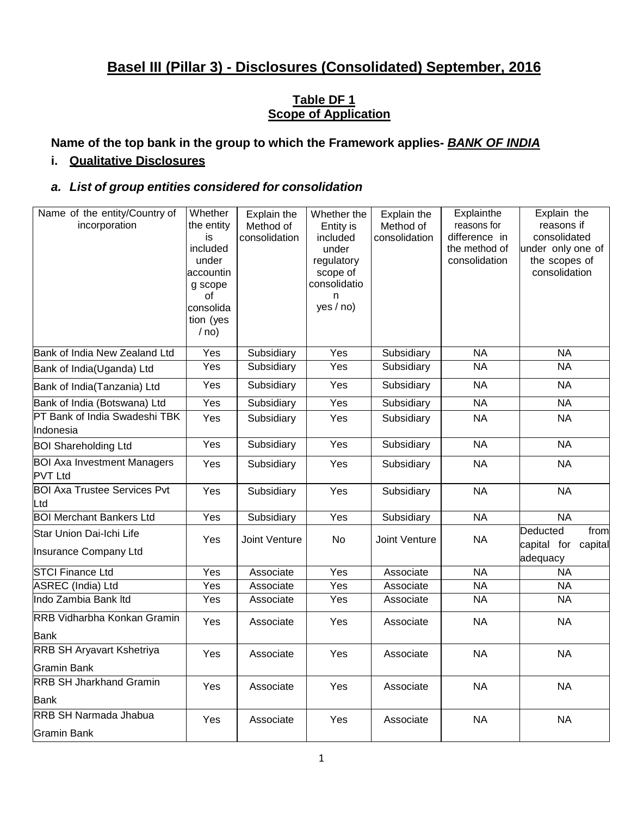# **Basel III (Pillar 3) - Disclosures (Consolidated) September, 2016**

## **Table DF 1 Scope of Application**

**Name of the top bank in the group to which the Framework applies-** *BANK OF INDIA*

# **i. Qualitative Disclosures**

## *a. List of group entities considered for consolidation*

| Name of the entity/Country of<br>incorporation         | Whether<br>the entity<br>is<br>included<br>under<br>accountin<br>g scope<br>οf<br>consolida<br>tion (yes<br>/ no) | Explain the<br>Method of<br>consolidation | Whether the<br>Entity is<br>included<br>under<br>regulatory<br>scope of<br>consolidatio<br>n<br>yes / no) | Explain the<br>Method of<br>consolidation | Explainthe<br>reasons for<br>difference in<br>the method of<br>consolidation | Explain the<br>reasons if<br>consolidated<br>under only one of<br>the scopes of<br>consolidation |
|--------------------------------------------------------|-------------------------------------------------------------------------------------------------------------------|-------------------------------------------|-----------------------------------------------------------------------------------------------------------|-------------------------------------------|------------------------------------------------------------------------------|--------------------------------------------------------------------------------------------------|
| Bank of India New Zealand Ltd                          | Yes                                                                                                               | Subsidiary                                | Yes                                                                                                       | Subsidiary                                | <b>NA</b>                                                                    | <b>NA</b>                                                                                        |
| Bank of India(Uganda) Ltd                              | Yes                                                                                                               | Subsidiary                                | Yes                                                                                                       | Subsidiary                                | <b>NA</b>                                                                    | <b>NA</b>                                                                                        |
| Bank of India(Tanzania) Ltd                            | Yes                                                                                                               | Subsidiary                                | Yes                                                                                                       | Subsidiary                                | <b>NA</b>                                                                    | <b>NA</b>                                                                                        |
| Bank of India (Botswana) Ltd                           | Yes                                                                                                               | Subsidiary                                | Yes                                                                                                       | Subsidiary                                | <b>NA</b>                                                                    | <b>NA</b>                                                                                        |
| PT Bank of India Swadeshi TBK<br>Indonesia             | Yes                                                                                                               | Subsidiary                                | Yes                                                                                                       | Subsidiary                                | <b>NA</b>                                                                    | <b>NA</b>                                                                                        |
| <b>BOI Shareholding Ltd</b>                            | Yes                                                                                                               | Subsidiary                                | Yes                                                                                                       | Subsidiary                                | <b>NA</b>                                                                    | <b>NA</b>                                                                                        |
| <b>BOI Axa Investment Managers</b><br><b>PVT Ltd</b>   | Yes                                                                                                               | Subsidiary                                | Yes                                                                                                       | Subsidiary                                | <b>NA</b>                                                                    | <b>NA</b>                                                                                        |
| <b>BOI Axa Trustee Services Pvt</b><br>Ltd             | Yes                                                                                                               | Subsidiary                                | Yes                                                                                                       | Subsidiary                                | <b>NA</b>                                                                    | <b>NA</b>                                                                                        |
| <b>BOI Merchant Bankers Ltd</b>                        | Yes                                                                                                               | Subsidiary                                | $\overline{Yes}$                                                                                          | Subsidiary                                | <b>NA</b>                                                                    | <b>NA</b>                                                                                        |
| Star Union Dai-Ichi Life<br>Insurance Company Ltd      | Yes                                                                                                               | <b>Joint Venture</b>                      | No                                                                                                        | Joint Venture                             | <b>NA</b>                                                                    | Deducted<br>from<br>capital for capital<br>adequacy                                              |
| <b>STCI Finance Ltd</b>                                | Yes                                                                                                               | Associate                                 | Yes                                                                                                       | Associate                                 | <b>NA</b>                                                                    | <b>NA</b>                                                                                        |
| <b>ASREC</b> (India) Ltd                               | Yes                                                                                                               | Associate                                 | Yes                                                                                                       | Associate                                 | <b>NA</b>                                                                    | <b>NA</b>                                                                                        |
| Indo Zambia Bank Itd                                   | Yes                                                                                                               | Associate                                 | Yes                                                                                                       | Associate                                 | <b>NA</b>                                                                    | <b>NA</b>                                                                                        |
| RRB Vidharbha Konkan Gramin<br><b>Bank</b>             | Yes                                                                                                               | Associate                                 | Yes                                                                                                       | Associate                                 | <b>NA</b>                                                                    | <b>NA</b>                                                                                        |
| <b>RRB SH Aryavart Kshetriya</b><br><b>Gramin Bank</b> | Yes                                                                                                               | Associate                                 | Yes                                                                                                       | Associate                                 | <b>NA</b>                                                                    | <b>NA</b>                                                                                        |
| <b>RRB SH Jharkhand Gramin</b><br>Bank                 | Yes                                                                                                               | Associate                                 | Yes                                                                                                       | Associate                                 | <b>NA</b>                                                                    | <b>NA</b>                                                                                        |
| <b>RRB SH Narmada Jhabua</b><br><b>Gramin Bank</b>     | Yes                                                                                                               | Associate                                 | Yes                                                                                                       | Associate                                 | <b>NA</b>                                                                    | <b>NA</b>                                                                                        |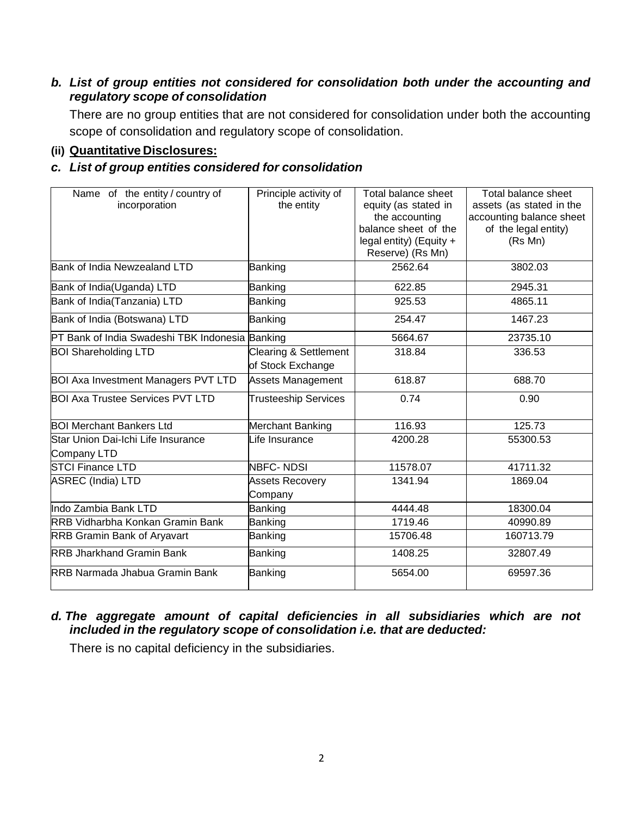# *b. List of group entities not considered for consolidation both under the accounting and regulatory scope of consolidation*

There are no group entities that are not considered for consolidation under both the accounting scope of consolidation and regulatory scope of consolidation.

#### **(ii) Quantitative Disclosures:**

# *c. List of group entities considered for consolidation*

| Name of the entity / country of<br>incorporation  | Principle activity of<br>the entity                   | Total balance sheet<br>equity (as stated in<br>the accounting<br>balance sheet of the<br>legal entity) (Equity $+$<br>Reserve) (Rs Mn) | Total balance sheet<br>assets (as stated in the<br>accounting balance sheet<br>of the legal entity)<br>(Rs Mn) |
|---------------------------------------------------|-------------------------------------------------------|----------------------------------------------------------------------------------------------------------------------------------------|----------------------------------------------------------------------------------------------------------------|
| Bank of India Newzealand LTD                      | Banking                                               | 2562.64                                                                                                                                | 3802.03                                                                                                        |
| Bank of India(Uganda) LTD                         | Banking                                               | 622.85                                                                                                                                 | 2945.31                                                                                                        |
| Bank of India(Tanzania) LTD                       | Banking                                               | 925.53                                                                                                                                 | 4865.11                                                                                                        |
| Bank of India (Botswana) LTD                      | Banking                                               | 254.47                                                                                                                                 | 1467.23                                                                                                        |
| PT Bank of India Swadeshi TBK Indonesia Banking   |                                                       | 5664.67                                                                                                                                | 23735.10                                                                                                       |
| <b>BOI Shareholding LTD</b>                       | <b>Clearing &amp; Settlement</b><br>of Stock Exchange | 318.84                                                                                                                                 | 336.53                                                                                                         |
| <b>BOI Axa Investment Managers PVT LTD</b>        | <b>Assets Management</b>                              | 618.87                                                                                                                                 | 688.70                                                                                                         |
| <b>BOI Axa Trustee Services PVT LTD</b>           | <b>Trusteeship Services</b>                           | 0.74                                                                                                                                   | 0.90                                                                                                           |
| <b>BOI Merchant Bankers Ltd</b>                   | <b>Merchant Banking</b>                               | 116.93                                                                                                                                 | 125.73                                                                                                         |
| Star Union Dai-Ichi Life Insurance<br>Company LTD | Life Insurance                                        | 4200.28                                                                                                                                | 55300.53                                                                                                       |
| <b>STCI Finance LTD</b>                           | NBFC-NDSI                                             | 11578.07                                                                                                                               | 41711.32                                                                                                       |
| ASREC (India) LTD                                 | <b>Assets Recovery</b><br>Company                     | 1341.94                                                                                                                                | 1869.04                                                                                                        |
| Indo Zambia Bank LTD                              | Banking                                               | 4444.48                                                                                                                                | 18300.04                                                                                                       |
| <b>RRB Vidharbha Konkan Gramin Bank</b>           | Banking                                               | 1719.46                                                                                                                                | 40990.89                                                                                                       |
| <b>RRB Gramin Bank of Aryavart</b>                | Banking                                               | 15706.48                                                                                                                               | 160713.79                                                                                                      |
| <b>RRB Jharkhand Gramin Bank</b>                  | Banking                                               | 1408.25                                                                                                                                | 32807.49                                                                                                       |
| <b>IRRB Narmada Jhabua Gramin Bank</b>            | Banking                                               | 5654.00                                                                                                                                | 69597.36                                                                                                       |

## *d. The aggregate amount of capital deficiencies in all subsidiaries which are not included in the regulatory scope of consolidation i.e. that are deducted:*

There is no capital deficiency in the subsidiaries.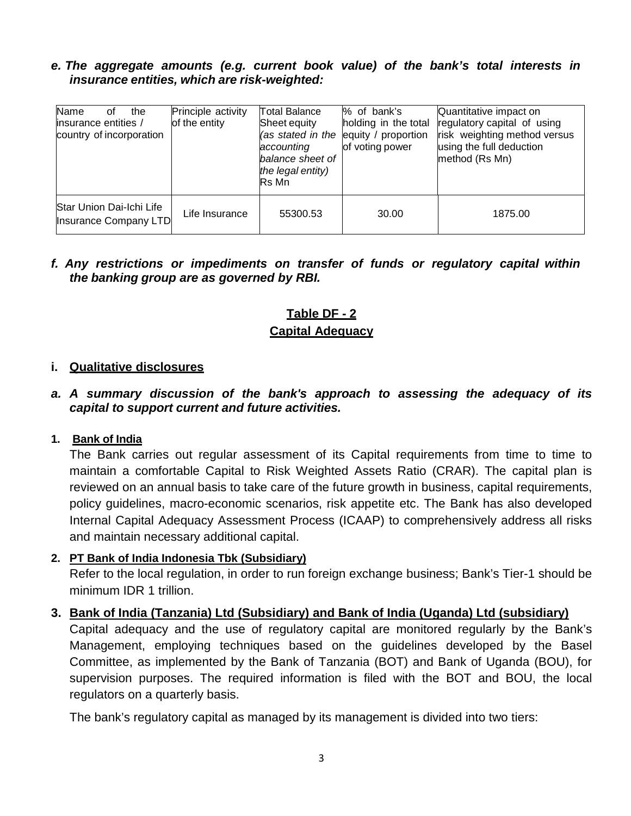#### *e. The aggregate amounts (e.g. current book value) of the bank's total interests in insurance entities, which are risk-weighted:*

| Name<br>the<br>Ωt<br>linsurance entities /<br>country of incorporation | Principle activity<br>of the entity | <b>Total Balance</b><br>Sheet equity<br>(as stated in the<br>accounting<br>balance sheet of<br>the legal entity)<br><b>Rs</b> Mn | % of bank's<br>holding in the total<br>equity / proportion<br>of voting power | Quantitative impact on<br>regulatory capital of using<br>risk weighting method versus<br>using the full deduction<br>method (Rs Mn) |
|------------------------------------------------------------------------|-------------------------------------|----------------------------------------------------------------------------------------------------------------------------------|-------------------------------------------------------------------------------|-------------------------------------------------------------------------------------------------------------------------------------|
| Star Union Dai-Ichi Life<br>Insurance Company LTD                      | Life Insurance                      | 55300.53                                                                                                                         | 30.00                                                                         | 1875.00                                                                                                                             |

# *f. Any restrictions or impediments on transfer of funds or regulatory capital within the banking group are as governed by RBI.*

# **Table DF - 2**

# **Capital Adequacy**

## **i. Qualitative disclosures**

## *a. A summary discussion of the bank's approach to assessing the adequacy of its capital to support current and future activities.*

#### **1. Bank of India**

The Bank carries out regular assessment of its Capital requirements from time to time to maintain a comfortable Capital to Risk Weighted Assets Ratio (CRAR). The capital plan is reviewed on an annual basis to take care of the future growth in business, capital requirements, policy guidelines, macro-economic scenarios, risk appetite etc. The Bank has also developed Internal Capital Adequacy Assessment Process (ICAAP) to comprehensively address all risks and maintain necessary additional capital.

#### **2. PT Bank of India Indonesia Tbk (Subsidiary)**

Refer to the local regulation, in order to run foreign exchange business; Bank's Tier-1 should be minimum IDR 1 trillion.

# **3. Bank of India (Tanzania) Ltd (Subsidiary) and Bank of India (Uganda) Ltd (subsidiary)**

Capital adequacy and the use of regulatory capital are monitored regularly by the Bank's Management, employing techniques based on the guidelines developed by the Basel Committee, as implemented by the Bank of Tanzania (BOT) and Bank of Uganda (BOU), for supervision purposes. The required information is filed with the BOT and BOU, the local regulators on a quarterly basis.

The bank's regulatory capital as managed by its management is divided into two tiers: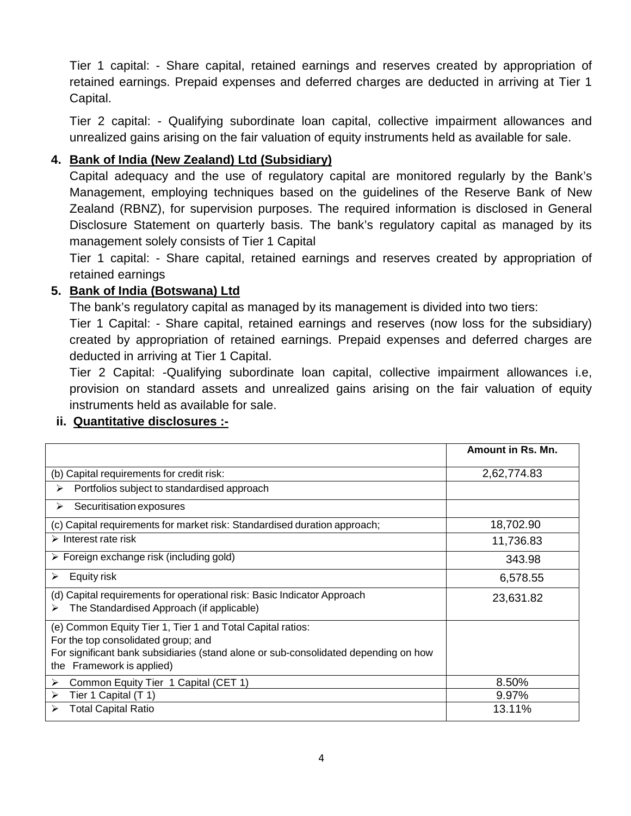Tier 1 capital: - Share capital, retained earnings and reserves created by appropriation of retained earnings. Prepaid expenses and deferred charges are deducted in arriving at Tier 1 Capital.

Tier 2 capital: - Qualifying subordinate loan capital, collective impairment allowances and unrealized gains arising on the fair valuation of equity instruments held as available for sale.

# **4. Bank of India (New Zealand) Ltd (Subsidiary)**

Capital adequacy and the use of regulatory capital are monitored regularly by the Bank's Management, employing techniques based on the guidelines of the Reserve Bank of New Zealand (RBNZ), for supervision purposes. The required information is disclosed in General Disclosure Statement on quarterly basis. The bank's regulatory capital as managed by its management solely consists of Tier 1 Capital

Tier 1 capital: - Share capital, retained earnings and reserves created by appropriation of retained earnings

## **5. Bank of India (Botswana) Ltd**

The bank's regulatory capital as managed by its management is divided into two tiers:

Tier 1 Capital: - Share capital, retained earnings and reserves (now loss for the subsidiary) created by appropriation of retained earnings. Prepaid expenses and deferred charges are deducted in arriving at Tier 1 Capital.

Tier 2 Capital: -Qualifying subordinate loan capital, collective impairment allowances i.e, provision on standard assets and unrealized gains arising on the fair valuation of equity instruments held as available for sale.

# **Amount in Rs. Mn.** (b) Capital requirements for credit risk: 2,62,774.83  $\triangleright$  Portfolios subject to standardised approach  $\triangleright$  Securitisation exposures (c) Capital requirements for market risk: Standardised duration approach; 18,702.90  $\triangleright$  Interest rate risk 11,736.83 Foreign exchange risk (including gold) 343.98  $\triangleright$  Equity risk 6,578.55 (d) Capital requirements for operational risk: Basic Indicator Approach<br>➢ The Standardised Approach (if applicable) (e) Common Equity Tier 1, Tier 1 and Total Capital ratios: For the top consolidated group; and For significant bank subsidiaries (stand alone or sub-consolidated depending on how the Framework is applied) ▶ Common Equity Tier 1 Capital (CET 1) 8.50%  $\triangleright$  Tier 1 Capital (T 1) 9.97% ▶ Total Capital Ratio 13.11%

# **ii. Quantitative disclosures :-**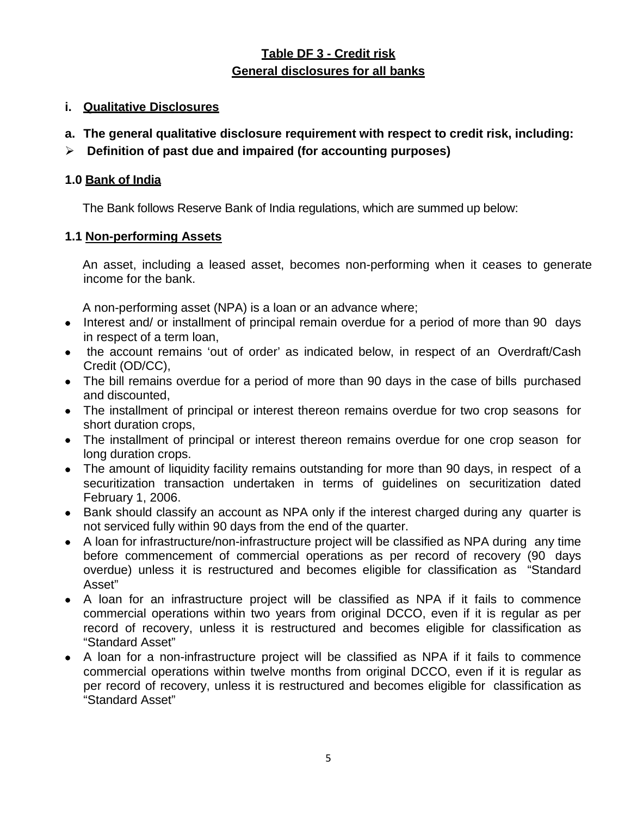# **Table DF 3 - Credit risk General disclosures for all banks**

# **i. Qualitative Disclosures**

- **a. The general qualitative disclosure requirement with respect to credit risk, including:**
- **Definition of past due and impaired (for accounting purposes)**

## **1.0 Bank of India**

The Bank follows Reserve Bank of India regulations, which are summed up below:

## **1.1 Non-performing Assets**

An asset, including a leased asset, becomes non-performing when it ceases to generate income for the bank.

A non-performing asset (NPA) is a loan or an advance where;

- Interest and/ or installment of principal remain overdue for a period of more than 90 days in respect of a term loan,
- the account remains 'out of order' as indicated below, in respect of an Overdraft/Cash Credit (OD/CC),
- The bill remains overdue for a period of more than 90 days in the case of bills purchased and discounted,
- The installment of principal or interest thereon remains overdue for two crop seasons for short duration crops,
- The installment of principal or interest thereon remains overdue for one crop season for long duration crops.
- The amount of liquidity facility remains outstanding for more than 90 days, in respect of a securitization transaction undertaken in terms of guidelines on securitization dated February 1, 2006.
- Bank should classify an account as NPA only if the interest charged during any quarter is not serviced fully within 90 days from the end of the quarter.
- A loan for infrastructure/non-infrastructure project will be classified as NPA during any time before commencement of commercial operations as per record of recovery (90 days overdue) unless it is restructured and becomes eligible for classification as "Standard Asset"
- A loan for an infrastructure project will be classified as NPA if it fails to commence commercial operations within two years from original DCCO, even if it is regular as per record of recovery, unless it is restructured and becomes eligible for classification as "Standard Asset"
- A loan for a non-infrastructure project will be classified as NPA if it fails to commence commercial operations within twelve months from original DCCO, even if it is regular as per record of recovery, unless it is restructured and becomes eligible for classification as "Standard Asset"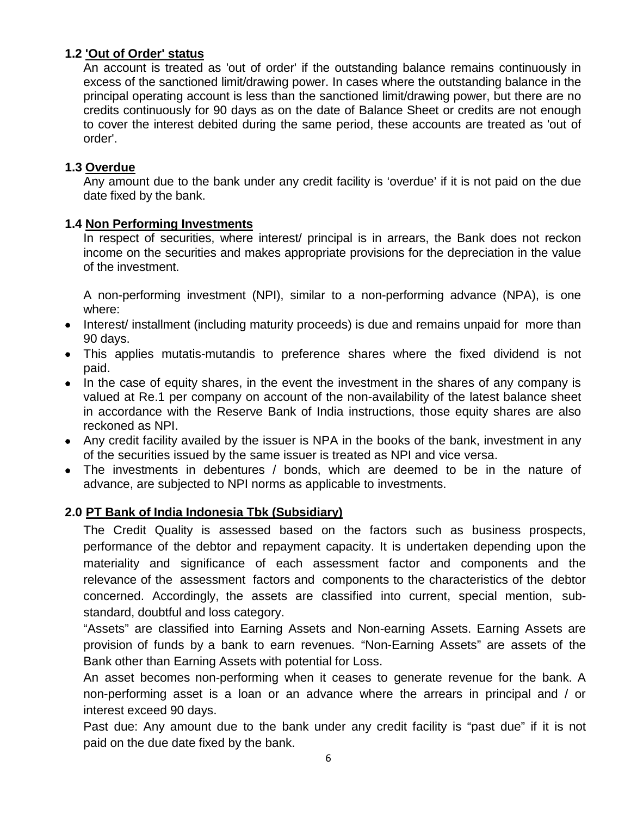# **1.2 'Out of Order' status**

An account is treated as 'out of order' if the outstanding balance remains continuously in excess of the sanctioned limit/drawing power. In cases where the outstanding balance in the principal operating account is less than the sanctioned limit/drawing power, but there are no credits continuously for 90 days as on the date of Balance Sheet or credits are not enough to cover the interest debited during the same period, these accounts are treated as 'out of order'.

#### **1.3 Overdue**

Any amount due to the bank under any credit facility is 'overdue' if it is not paid on the due date fixed by the bank.

#### **1.4 Non Performing Investments**

In respect of securities, where interest/ principal is in arrears, the Bank does not reckon income on the securities and makes appropriate provisions for the depreciation in the value of the investment.

A non-performing investment (NPI), similar to a non-performing advance (NPA), is one where:

- Interest/ installment (including maturity proceeds) is due and remains unpaid for more than 90 days.
- This applies mutatis-mutandis to preference shares where the fixed dividend is not paid.
- In the case of equity shares, in the event the investment in the shares of any company is valued at Re.1 per company on account of the non-availability of the latest balance sheet in accordance with the Reserve Bank of India instructions, those equity shares are also reckoned as NPI.
- Any credit facility availed by the issuer is NPA in the books of the bank, investment in any of the securities issued by the same issuer is treated as NPI and vice versa.
- The investments in debentures / bonds, which are deemed to be in the nature of advance, are subjected to NPI norms as applicable to investments.

# **2.0 PT Bank of India Indonesia Tbk (Subsidiary)**

The Credit Quality is assessed based on the factors such as business prospects, performance of the debtor and repayment capacity. It is undertaken depending upon the materiality and significance of each assessment factor and components and the relevance of the assessment factors and components to the characteristics of the debtor concerned. Accordingly, the assets are classified into current, special mention, substandard, doubtful and loss category.

"Assets" are classified into Earning Assets and Non-earning Assets. Earning Assets are provision of funds by a bank to earn revenues. "Non-Earning Assets" are assets of the Bank other than Earning Assets with potential for Loss.

An asset becomes non-performing when it ceases to generate revenue for the bank. A non-performing asset is a loan or an advance where the arrears in principal and / or interest exceed 90 days.

Past due: Any amount due to the bank under any credit facility is "past due" if it is not paid on the due date fixed by the bank.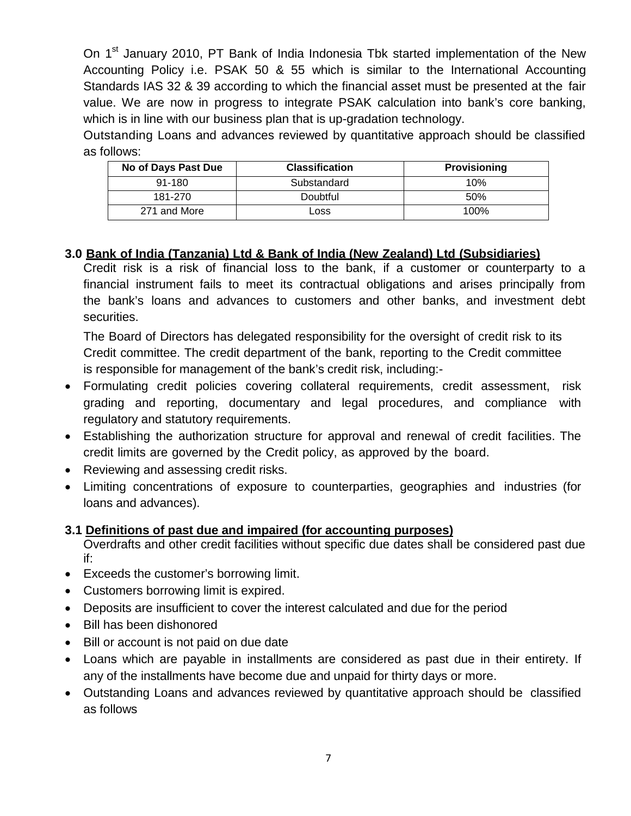On 1<sup>st</sup> January 2010, PT Bank of India Indonesia Tbk started implementation of the New Accounting Policy i.e. PSAK 50 & 55 which is similar to the International Accounting Standards IAS 32 & 39 according to which the financial asset must be presented at the fair value. We are now in progress to integrate PSAK calculation into bank's core banking, which is in line with our business plan that is up-gradation technology.

Outstanding Loans and advances reviewed by quantitative approach should be classified as follows:

| No of Days Past Due | <b>Classification</b> | Provisioning |
|---------------------|-----------------------|--------------|
| $91 - 180$          | Substandard           | 10%          |
| 181-270             | Doubtful              | 50%          |
| 271 and More        | LOSS                  | 100%         |

# **3.0 Bank of India (Tanzania) Ltd & Bank of India (New Zealand) Ltd (Subsidiaries)**

Credit risk is a risk of financial loss to the bank, if a customer or counterparty to a financial instrument fails to meet its contractual obligations and arises principally from the bank's loans and advances to customers and other banks, and investment debt securities.

The Board of Directors has delegated responsibility for the oversight of credit risk to its Credit committee. The credit department of the bank, reporting to the Credit committee is responsible for management of the bank's credit risk, including:-

- Formulating credit policies covering collateral requirements, credit assessment, risk grading and reporting, documentary and legal procedures, and compliance with regulatory and statutory requirements.
- Establishing the authorization structure for approval and renewal of credit facilities. The credit limits are governed by the Credit policy, as approved by the board.
- Reviewing and assessing credit risks.
- Limiting concentrations of exposure to counterparties, geographies and industries (for loans and advances).

# **3.1 Definitions of past due and impaired (for accounting purposes)**

Overdrafts and other credit facilities without specific due dates shall be considered past due if:

- Exceeds the customer's borrowing limit.
- Customers borrowing limit is expired.
- Deposits are insufficient to cover the interest calculated and due for the period
- Bill has been dishonored
- Bill or account is not paid on due date
- Loans which are payable in installments are considered as past due in their entirety. If any of the installments have become due and unpaid for thirty days or more.
- Outstanding Loans and advances reviewed by quantitative approach should be classified as follows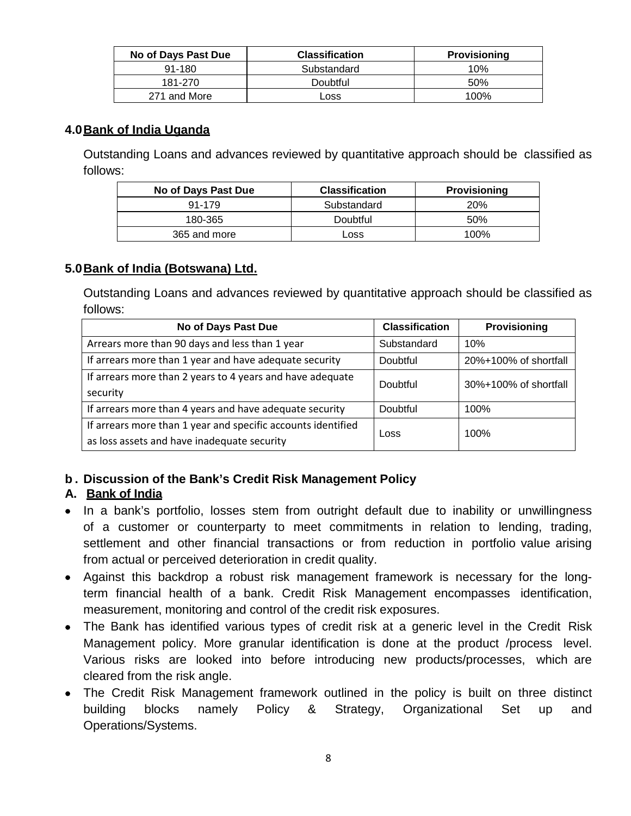| No of Days Past Due | <b>Classification</b> | <b>Provisioning</b> |
|---------------------|-----------------------|---------------------|
| $91 - 180$          | Substandard           | 10%                 |
| 181-270             | <b>Doubtful</b>       | 50%                 |
| 271 and More        | Loss                  | $100\%$             |

#### **4.0Bank of India Uganda**

Outstanding Loans and advances reviewed by quantitative approach should be classified as follows:

| No of Days Past Due | <b>Classification</b> | <b>Provisioning</b> |
|---------------------|-----------------------|---------------------|
| 91-179              | Substandard           | 20%                 |
| 180-365             | Doubtful              | 50%                 |
| 365 and more        | Loss                  | 100%                |

#### **5.0Bank of India (Botswana) Ltd.**

Outstanding Loans and advances reviewed by quantitative approach should be classified as follows:

| No of Days Past Due                                          | <b>Classification</b> | Provisioning          |  |
|--------------------------------------------------------------|-----------------------|-----------------------|--|
| Arrears more than 90 days and less than 1 year               | Substandard           | 10%                   |  |
| If arrears more than 1 year and have adequate security       | Doubtful              | 20%+100% of shortfall |  |
| If arrears more than 2 years to 4 years and have adequate    | Doubtful              | 30%+100% of shortfall |  |
| security                                                     |                       |                       |  |
| If arrears more than 4 years and have adequate security      | Doubtful              | 100%                  |  |
| If arrears more than 1 year and specific accounts identified | Loss                  | 100%                  |  |
| as loss assets and have inadequate security                  |                       |                       |  |

#### **b . Discussion of the Bank's Credit Risk Management Policy**

#### **A. Bank of India**

- In a bank's portfolio, losses stem from outright default due to inability or unwillingness of a customer or counterparty to meet commitments in relation to lending, trading, settlement and other financial transactions or from reduction in portfolio value arising from actual or perceived deterioration in credit quality.
- Against this backdrop a robust risk management framework is necessary for the longterm financial health of a bank. Credit Risk Management encompasses identification, measurement, monitoring and control of the credit risk exposures.
- The Bank has identified various types of credit risk at a generic level in the Credit Risk Management policy. More granular identification is done at the product /process level. Various risks are looked into before introducing new products/processes, which are cleared from the risk angle.
- The Credit Risk Management framework outlined in the policy is built on three distinct building blocks namely Policy & Strategy, Organizational Set up and Operations/Systems.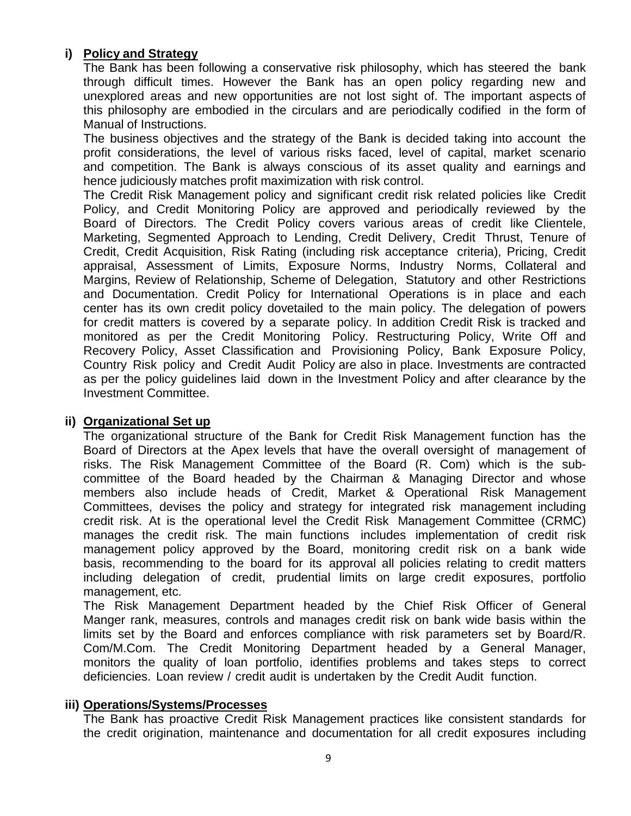# **i) Policy and Strategy**

The Bank has been following a conservative risk philosophy, which has steered the bank through difficult times. However the Bank has an open policy regarding new and unexplored areas and new opportunities are not lost sight of. The important aspects of this philosophy are embodied in the circulars and are periodically codified in the form of Manual of Instructions.

The business objectives and the strategy of the Bank is decided taking into account the profit considerations, the level of various risks faced, level of capital, market scenario and competition. The Bank is always conscious of its asset quality and earnings and hence judiciously matches profit maximization with risk control.

The Credit Risk Management policy and significant credit risk related policies like Credit Policy, and Credit Monitoring Policy are approved and periodically reviewed by the Board of Directors. The Credit Policy covers various areas of credit like Clientele, Marketing, Segmented Approach to Lending, Credit Delivery, Credit Thrust, Tenure of Credit, Credit Acquisition, Risk Rating (including risk acceptance criteria), Pricing, Credit appraisal, Assessment of Limits, Exposure Norms, Industry Norms, Collateral and Margins, Review of Relationship, Scheme of Delegation, Statutory and other Restrictions and Documentation. Credit Policy for International Operations is in place and each center has its own credit policy dovetailed to the main policy. The delegation of powers for credit matters is covered by a separate policy. In addition Credit Risk is tracked and monitored as per the Credit Monitoring Policy. Restructuring Policy, Write Off and Recovery Policy, Asset Classification and Provisioning Policy, Bank Exposure Policy, Country Risk policy and Credit Audit Policy are also in place. Investments are contracted as per the policy guidelines laid down in the Investment Policy and after clearance by the Investment Committee.

#### **ii) Organizational Set up**

The organizational structure of the Bank for Credit Risk Management function has the Board of Directors at the Apex levels that have the overall oversight of management of risks. The Risk Management Committee of the Board (R. Com) which is the subcommittee of the Board headed by the Chairman & Managing Director and whose members also include heads of Credit, Market & Operational Risk Management Committees, devises the policy and strategy for integrated risk management including credit risk. At is the operational level the Credit Risk Management Committee (CRMC) manages the credit risk. The main functions includes implementation of credit risk management policy approved by the Board, monitoring credit risk on a bank wide basis, recommending to the board for its approval all policies relating to credit matters including delegation of credit, prudential limits on large credit exposures, portfolio management, etc.

The Risk Management Department headed by the Chief Risk Officer of General Manger rank, measures, controls and manages credit risk on bank wide basis within the limits set by the Board and enforces compliance with risk parameters set by Board/R. Com/M.Com. The Credit Monitoring Department headed by a General Manager, monitors the quality of loan portfolio, identifies problems and takes steps to correct deficiencies. Loan review / credit audit is undertaken by the Credit Audit function.

#### **iii) Operations/Systems/Processes**

The Bank has proactive Credit Risk Management practices like consistent standards for the credit origination, maintenance and documentation for all credit exposures including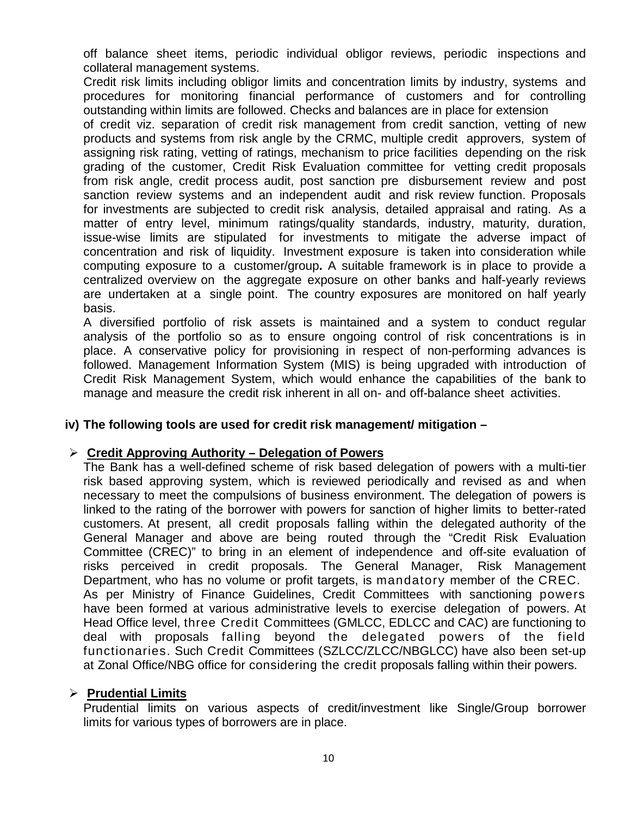off balance sheet items, periodic individual obligor reviews, periodic inspections and collateral management systems.

Credit risk limits including obligor limits and concentration limits by industry, systems and procedures for monitoring financial performance of customers and for controlling outstanding within limits are followed. Checks and balances are in place for extension

of credit viz. separation of credit risk management from credit sanction, vetting of new products and systems from risk angle by the CRMC, multiple credit approvers, system of assigning risk rating, vetting of ratings, mechanism to price facilities depending on the risk grading of the customer, Credit Risk Evaluation committee for vetting credit proposals from risk angle, credit process audit, post sanction pre disbursement review and post sanction review systems and an independent audit and risk review function. Proposals for investments are subjected to credit risk analysis, detailed appraisal and rating. As a matter of entry level, minimum ratings/quality standards, industry, maturity, duration, issue-wise limits are stipulated for investments to mitigate the adverse impact of concentration and risk of liquidity. Investment exposure is taken into consideration while computing exposure to a customer/group**.** A suitable framework is in place to provide a centralized overview on the aggregate exposure on other banks and half-yearly reviews are undertaken at a single point. The country exposures are monitored on half yearly basis.

A diversified portfolio of risk assets is maintained and a system to conduct regular analysis of the portfolio so as to ensure ongoing control of risk concentrations is in place. A conservative policy for provisioning in respect of non-performing advances is followed. Management Information System (MIS) is being upgraded with introduction of Credit Risk Management System, which would enhance the capabilities of the bank to manage and measure the credit risk inherent in all on- and off-balance sheet activities.

#### **iv) The following tools are used for credit risk management/ mitigation –**

#### **Credit Approving Authority – Delegation of Powers**

The Bank has a well-defined scheme of risk based delegation of powers with a multi-tier risk based approving system, which is reviewed periodically and revised as and when necessary to meet the compulsions of business environment. The delegation of powers is linked to the rating of the borrower with powers for sanction of higher limits to better-rated customers. At present, all credit proposals falling within the delegated authority of the General Manager and above are being routed through the "Credit Risk Evaluation Committee (CREC)" to bring in an element of independence and off-site evaluation of risks perceived in credit proposals. The General Manager, Risk Management Department, who has no volume or profit targets, is mandatory member of the CREC. As per Ministry of Finance Guidelines, Credit Committees with sanctioning powers have been formed at various administrative levels to exercise delegation of powers. At Head Office level, three Credit Committees (GMLCC, EDLCC and CAC) are functioning to deal with proposals falling beyond the delegated powers of the field functionaries. Such Credit Committees (SZLCC/ZLCC/NBGLCC) have also been set-up at Zonal Office/NBG office for considering the credit proposals falling within their powers.

#### **Prudential Limits**

Prudential limits on various aspects of credit/investment like Single/Group borrower limits for various types of borrowers are in place.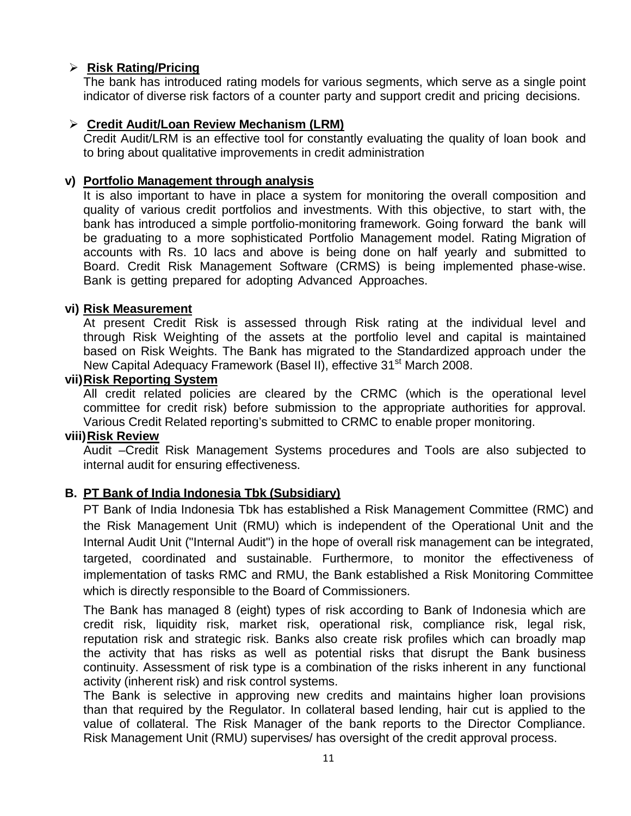# **Risk Rating/Pricing**

The bank has introduced rating models for various segments, which serve as a single point indicator of diverse risk factors of a counter party and support credit and pricing decisions.

#### **Credit Audit/Loan Review Mechanism (LRM)**

Credit Audit/LRM is an effective tool for constantly evaluating the quality of loan book and to bring about qualitative improvements in credit administration

#### **v) Portfolio Management through analysis**

It is also important to have in place a system for monitoring the overall composition and quality of various credit portfolios and investments. With this objective, to start with, the bank has introduced a simple portfolio-monitoring framework. Going forward the bank will be graduating to a more sophisticated Portfolio Management model. Rating Migration of accounts with Rs. 10 lacs and above is being done on half yearly and submitted to Board. Credit Risk Management Software (CRMS) is being implemented phase-wise. Bank is getting prepared for adopting Advanced Approaches.

#### **vi) Risk Measurement**

At present Credit Risk is assessed through Risk rating at the individual level and through Risk Weighting of the assets at the portfolio level and capital is maintained based on Risk Weights. The Bank has migrated to the Standardized approach under the New Capital Adequacy Framework (Basel II), effective 31<sup>st</sup> March 2008.

#### **vii)Risk Reporting System**

All credit related policies are cleared by the CRMC (which is the operational level committee for credit risk) before submission to the appropriate authorities for approval. Various Credit Related reporting's submitted to CRMC to enable proper monitoring.

#### **viii)Risk Review**

Audit –Credit Risk Management Systems procedures and Tools are also subjected to internal audit for ensuring effectiveness.

#### **B. PT Bank of India Indonesia Tbk (Subsidiary)**

PT Bank of India Indonesia Tbk has established a Risk Management Committee (RMC) and the Risk Management Unit (RMU) which is independent of the Operational Unit and the Internal Audit Unit ("Internal Audit") in the hope of overall risk management can be integrated, targeted, coordinated and sustainable. Furthermore, to monitor the effectiveness of implementation of tasks RMC and RMU, the Bank established a Risk Monitoring Committee which is directly responsible to the Board of Commissioners.

The Bank has managed 8 (eight) types of risk according to Bank of Indonesia which are credit risk, liquidity risk, market risk, operational risk, compliance risk, legal risk, reputation risk and strategic risk. Banks also create risk profiles which can broadly map the activity that has risks as well as potential risks that disrupt the Bank business continuity. Assessment of risk type is a combination of the risks inherent in any functional activity (inherent risk) and risk control systems.

The Bank is selective in approving new credits and maintains higher loan provisions than that required by the Regulator. In collateral based lending, hair cut is applied to the value of collateral. The Risk Manager of the bank reports to the Director Compliance. Risk Management Unit (RMU) supervises/ has oversight of the credit approval process.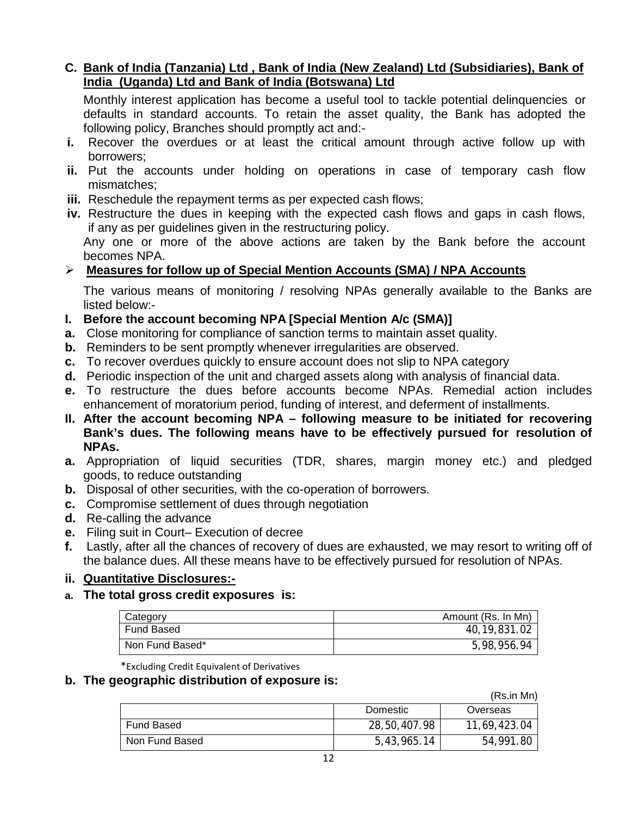# **C. Bank of India (Tanzania) Ltd , Bank of India (New Zealand) Ltd (Subsidiaries), Bank of India (Uganda) Ltd and Bank of India (Botswana) Ltd**

Monthly interest application has become a useful tool to tackle potential delinquencies or defaults in standard accounts. To retain the asset quality, the Bank has adopted the following policy, Branches should promptly act and:-

- **i.** Recover the overdues or at least the critical amount through active follow up with borrowers;
- **ii.** Put the accounts under holding on operations in case of temporary cash flow mismatches;
- **iii.** Reschedule the repayment terms as per expected cash flows;
- **iv.** Restructure the dues in keeping with the expected cash flows and gaps in cash flows, if any as per guidelines given in the restructuring policy. Any one or more of the above actions are taken by the Bank before the account

becomes NPA. **Measures for follow up of Special Mention Accounts (SMA) / NPA Accounts**

The various means of monitoring / resolving NPAs generally available to the Banks are listed below:-

- **I. Before the account becoming NPA [Special Mention A/c (SMA)]**
- **a.** Close monitoring for compliance of sanction terms to maintain asset quality.
- **b.** Reminders to be sent promptly whenever irregularities are observed.
- **c.** To recover overdues quickly to ensure account does not slip to NPA category
- **d.** Periodic inspection of the unit and charged assets along with analysis of financial data.
- **e.** To restructure the dues before accounts become NPAs. Remedial action includes enhancement of moratorium period, funding of interest, and deferment of installments.
- **II. After the account becoming NPA – following measure to be initiated for recovering Bank's dues. The following means have to be effectively pursued for resolution of NPAs.**
- **a.** Appropriation of liquid securities (TDR, shares, margin money etc.) and pledged goods, to reduce outstanding
- **b.** Disposal of other securities, with the co-operation of borrowers.
- **c.** Compromise settlement of dues through negotiation
- **d.** Re-calling the advance
- **e.** Filing suit in Court– Execution of decree
- **f.** Lastly, after all the chances of recovery of dues are exhausted, we may resort to writing off of the balance dues. All these means have to be effectively pursued for resolution of NPAs.

#### **ii. Quantitative Disclosures:-**

**a. The total gross credit exposures is:** 

| Category          | Amount (Rs. In Mn) |
|-------------------|--------------------|
| <b>Fund Based</b> | 40, 19, 831.02     |
| Non Fund Based*   | 5,98,956.94        |

\*Excluding Credit Equivalent of Derivatives

#### **b. The geographic distribution of exposure is:**

(Rs.in Mn)

|                | Domestic     | Overseas     |
|----------------|--------------|--------------|
| Fund Based     | 28,50,407.98 | 11,69,423.04 |
| Non Fund Based | 5,43,965.14  | 54,991.80    |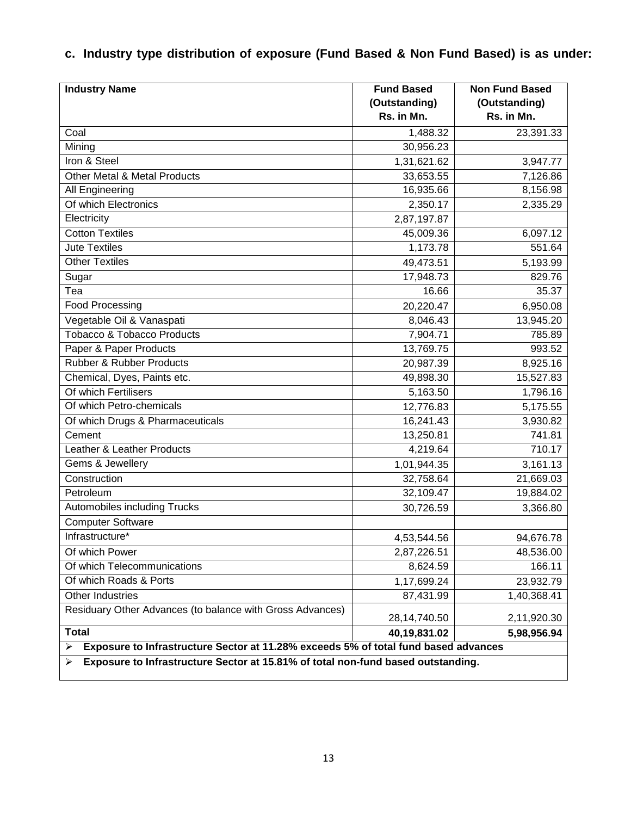# **c. Industry type distribution of exposure (Fund Based & Non Fund Based) is as under:**

| <b>Industry Name</b>                                                                     | <b>Fund Based</b> | <b>Non Fund Based</b> |  |
|------------------------------------------------------------------------------------------|-------------------|-----------------------|--|
|                                                                                          | (Outstanding)     | (Outstanding)         |  |
|                                                                                          | Rs. in Mn.        | Rs. in Mn.            |  |
| Coal                                                                                     | 1,488.32          | 23,391.33             |  |
| Mining                                                                                   | 30,956.23         |                       |  |
| Iron & Steel                                                                             | 1,31,621.62       | 3,947.77              |  |
| Other Metal & Metal Products                                                             | 33,653.55         | 7,126.86              |  |
| All Engineering                                                                          | 16,935.66         | 8,156.98              |  |
| Of which Electronics                                                                     | 2,350.17          | 2,335.29              |  |
| Electricity                                                                              | 2,87,197.87       |                       |  |
| <b>Cotton Textiles</b>                                                                   | 45,009.36         | 6,097.12              |  |
| <b>Jute Textiles</b>                                                                     | 1,173.78          | 551.64                |  |
| <b>Other Textiles</b>                                                                    | 49,473.51         | 5,193.99              |  |
| Sugar                                                                                    | 17,948.73         | 829.76                |  |
| Tea                                                                                      | 16.66             | 35.37                 |  |
| <b>Food Processing</b>                                                                   | 20,220.47         | 6,950.08              |  |
| Vegetable Oil & Vanaspati                                                                | 8,046.43          | 13,945.20             |  |
| <b>Tobacco &amp; Tobacco Products</b>                                                    | 7,904.71          | 785.89                |  |
| Paper & Paper Products                                                                   | 13,769.75         | 993.52                |  |
| Rubber & Rubber Products                                                                 | 20,987.39         | 8,925.16              |  |
| Chemical, Dyes, Paints etc.                                                              | 49,898.30         | 15,527.83             |  |
| Of which Fertilisers                                                                     | 5,163.50          | 1,796.16              |  |
| Of which Petro-chemicals                                                                 | 12,776.83         | 5,175.55              |  |
| Of which Drugs & Pharmaceuticals                                                         | 16,241.43         | 3,930.82              |  |
| Cement                                                                                   | 13,250.81         | 741.81                |  |
| Leather & Leather Products                                                               | 4,219.64          | 710.17                |  |
| Gems & Jewellery                                                                         | 1,01,944.35       | 3,161.13              |  |
| Construction                                                                             | 32,758.64         | 21,669.03             |  |
| Petroleum                                                                                | 32,109.47         | 19,884.02             |  |
| Automobiles including Trucks                                                             | 30,726.59         | 3,366.80              |  |
| <b>Computer Software</b>                                                                 |                   |                       |  |
| Infrastructure*                                                                          | 4,53,544.56       | 94,676.78             |  |
| Of which Power                                                                           | 2,87,226.51       | 48,536.00             |  |
| Of which Telecommunications                                                              | 8,624.59          | 166.11                |  |
| Of which Roads & Ports                                                                   | 1,17,699.24       | 23,932.79             |  |
| <b>Other Industries</b>                                                                  | 87,431.99         | 1,40,368.41           |  |
| Residuary Other Advances (to balance with Gross Advances)                                | 28,14,740.50      | 2,11,920.30           |  |
| <b>Total</b>                                                                             | 40,19,831.02      | 5,98,956.94           |  |
| Exposure to Infrastructure Sector at 11.28% exceeds 5% of total fund based advances<br>➤ |                   |                       |  |
| Exposure to Infrastructure Sector at 15.81% of total non-fund based outstanding.<br>⋗    |                   |                       |  |

 $\perp$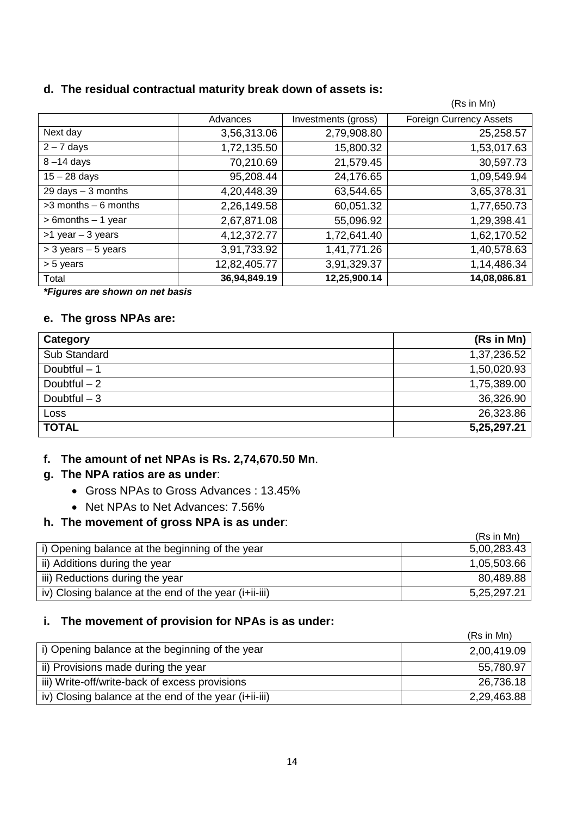#### **d. The residual contractual maturity break down of assets is:**

|                                      |                |                     | (Rs in Mn)                     |
|--------------------------------------|----------------|---------------------|--------------------------------|
|                                      | Advances       | Investments (gross) | <b>Foreign Currency Assets</b> |
| Next day                             | 3,56,313.06    | 2,79,908.80         | 25,258.57                      |
| $2 - 7$ days                         | 1,72,135.50    | 15,800.32           | 1,53,017.63                    |
| $8 - 14$ days                        | 70,210.69      | 21,579.45           | 30,597.73                      |
| $15 - 28$ days                       | 95,208.44      | 24,176.65           | 1,09,549.94                    |
| $29 \text{ days} - 3 \text{ months}$ | 4,20,448.39    | 63,544.65           | 3,65,378.31                    |
| $>3$ months $-6$ months              | 2,26,149.58    | 60,051.32           | 1,77,650.73                    |
| $> 6$ months $- 1$ year              | 2,67,871.08    | 55,096.92           | 1,29,398.41                    |
| $>1$ year $-3$ years                 | 4, 12, 372. 77 | 1,72,641.40         | 1,62,170.52                    |
| $>$ 3 years $-$ 5 years              | 3,91,733.92    | 1,41,771.26         | 1,40,578.63                    |
| > 5 years                            | 12,82,405.77   | 3,91,329.37         | 1,14,486.34                    |
| Total                                | 36,94,849.19   | 12,25,900.14        | 14,08,086.81                   |

*\*Figures are shown on net basis*

## **e. The gross NPAs are:**

| Category      | (Rs in Mn)  |
|---------------|-------------|
| Sub Standard  | 1,37,236.52 |
| Doubtful $-1$ | 1,50,020.93 |
| Doubtful $-2$ | 1,75,389.00 |
| Doubtful $-3$ | 36,326.90   |
| Loss          | 26,323.86   |
| <b>TOTAL</b>  | 5,25,297.21 |

# **f. The amount of net NPAs is Rs. 2,74,670.50 Mn**.

#### **g. The NPA ratios are as under**:

- Gross NPAs to Gross Advances : 13.45%
- Net NPAs to Net Advances: 7.56%

# **h. The movement of gross NPA is as under**:

|                                                       | (Rs in Mn)  |
|-------------------------------------------------------|-------------|
| i) Opening balance at the beginning of the year       | 5,00,283.43 |
| ii) Additions during the year                         | 1,05,503.66 |
| iii) Reductions during the year                       | 80,489.88   |
| iv) Closing balance at the end of the year (i+ii-iii) | 5,25,297.21 |

#### **i. The movement of provision for NPAs is as under:**

|                                                       | (Rs in Mn)  |
|-------------------------------------------------------|-------------|
| i) Opening balance at the beginning of the year       | 2,00,419.09 |
| ii) Provisions made during the year                   | 55,780.97   |
| iii) Write-off/write-back of excess provisions        | 26,736.18   |
| iv) Closing balance at the end of the year (i+ii-iii) | 2,29,463.88 |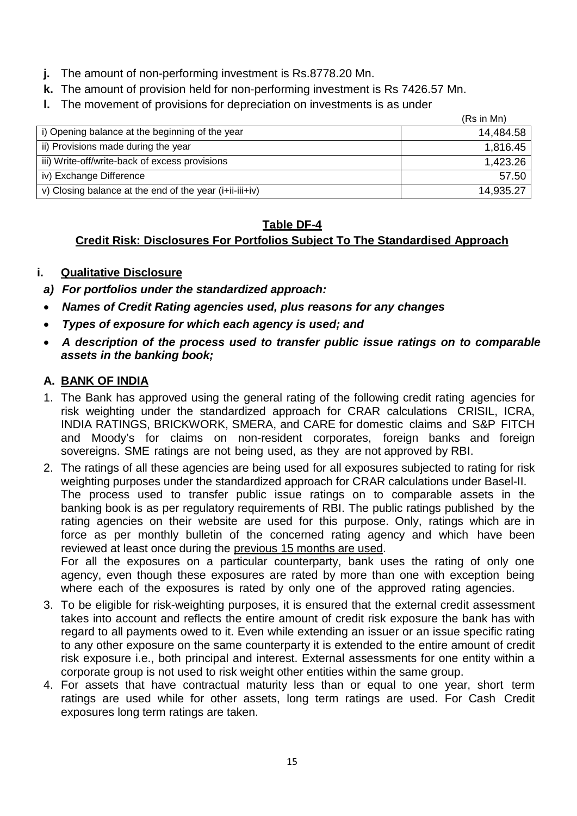- **j.** The amount of non-performing investment is Rs.8778.20 Mn.
- **k.** The amount of provision held for non-performing investment is Rs 7426.57 Mn.
- **l.** The movement of provisions for depreciation on investments is as under

|                                                                  | (Rs in Mn) |
|------------------------------------------------------------------|------------|
| i) Opening balance at the beginning of the year                  | 14,484.58  |
| ii) Provisions made during the year                              | 1,816.45   |
| iii) Write-off/write-back of excess provisions                   | 1,423.26   |
| iv) Exchange Difference                                          | 57.50      |
| $ v\rangle$ Closing balance at the end of the year (i+ii-iii+iv) | 14,935.27  |

# **Table DF-4**

# **Credit Risk: Disclosures For Portfolios Subject To The Standardised Approach**

# **i. Qualitative Disclosure**

- *a) For portfolios under the standardized approach:*
- *Names of Credit Rating agencies used, plus reasons for any changes*
- *Types of exposure for which each agency is used; and*
- *A description of the process used to transfer public issue ratings on to comparable assets in the banking book;*

# **A. BANK OF INDIA**

- 1. The Bank has approved using the general rating of the following credit rating agencies for risk weighting under the standardized approach for CRAR calculations CRISIL, ICRA, INDIA RATINGS, BRICKWORK, SMERA, and CARE for domestic claims and S&P FITCH and Moody's for claims on non-resident corporates, foreign banks and foreign sovereigns. SME ratings are not being used, as they are not approved by RBI.
- 2. The ratings of all these agencies are being used for all exposures subjected to rating for risk weighting purposes under the standardized approach for CRAR calculations under Basel-II. The process used to transfer public issue ratings on to comparable assets in the banking book is as per regulatory requirements of RBI. The public ratings published by the rating agencies on their website are used for this purpose. Only, ratings which are in force as per monthly bulletin of the concerned rating agency and which have been reviewed at least once during the previous 15 months are used. For all the exposures on a particular counterparty, bank uses the rating of only one agency, even though these exposures are rated by more than one with exception being where each of the exposures is rated by only one of the approved rating agencies.
- 3. To be eligible for risk-weighting purposes, it is ensured that the external credit assessment takes into account and reflects the entire amount of credit risk exposure the bank has with regard to all payments owed to it. Even while extending an issuer or an issue specific rating to any other exposure on the same counterparty it is extended to the entire amount of credit risk exposure i.e., both principal and interest. External assessments for one entity within a corporate group is not used to risk weight other entities within the same group.
- 4. For assets that have contractual maturity less than or equal to one year, short term ratings are used while for other assets, long term ratings are used. For Cash Credit exposures long term ratings are taken.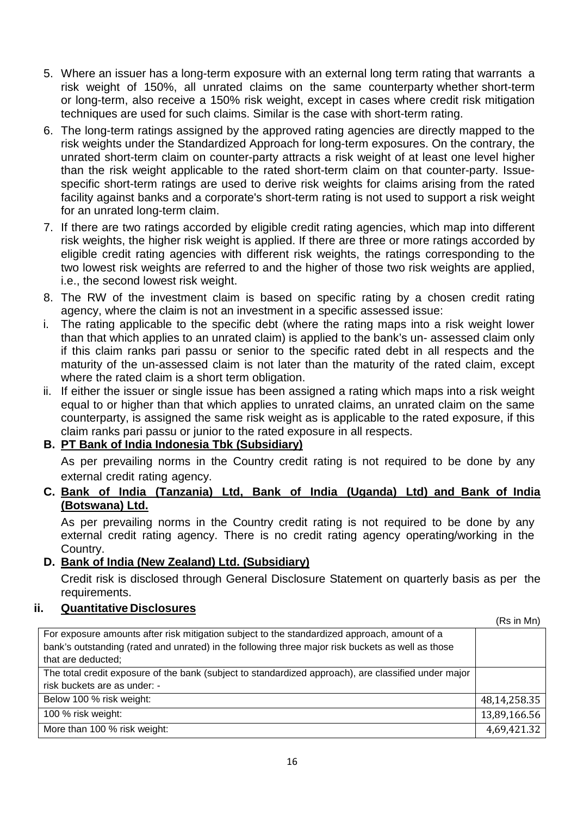- 5. Where an issuer has a long-term exposure with an external long term rating that warrants a risk weight of 150%, all unrated claims on the same counterparty whether short-term or long-term, also receive a 150% risk weight, except in cases where credit risk mitigation techniques are used for such claims. Similar is the case with short-term rating.
- 6. The long-term ratings assigned by the approved rating agencies are directly mapped to the risk weights under the Standardized Approach for long-term exposures. On the contrary, the unrated short-term claim on counter-party attracts a risk weight of at least one level higher than the risk weight applicable to the rated short-term claim on that counter-party. Issuespecific short-term ratings are used to derive risk weights for claims arising from the rated facility against banks and a corporate's short-term rating is not used to support a risk weight for an unrated long-term claim.
- 7. If there are two ratings accorded by eligible credit rating agencies, which map into different risk weights, the higher risk weight is applied. If there are three or more ratings accorded by eligible credit rating agencies with different risk weights, the ratings corresponding to the two lowest risk weights are referred to and the higher of those two risk weights are applied, i.e., the second lowest risk weight.
- 8. The RW of the investment claim is based on specific rating by a chosen credit rating agency, where the claim is not an investment in a specific assessed issue:
- i. The rating applicable to the specific debt (where the rating maps into a risk weight lower than that which applies to an unrated claim) is applied to the bank's un- assessed claim only if this claim ranks pari passu or senior to the specific rated debt in all respects and the maturity of the un-assessed claim is not later than the maturity of the rated claim, except where the rated claim is a short term obligation.
- ii. If either the issuer or single issue has been assigned a rating which maps into a risk weight equal to or higher than that which applies to unrated claims, an unrated claim on the same counterparty, is assigned the same risk weight as is applicable to the rated exposure, if this claim ranks pari passu or junior to the rated exposure in all respects.

# **B. PT Bank of India Indonesia Tbk (Subsidiary)**

As per prevailing norms in the Country credit rating is not required to be done by any external credit rating agency.

**C. Bank of India (Tanzania) Ltd, Bank of India (Uganda) Ltd) and Bank of India (Botswana) Ltd.**

As per prevailing norms in the Country credit rating is not required to be done by any external credit rating agency. There is no credit rating agency operating/working in the Country.

# **D. Bank of India (New Zealand) Ltd. (Subsidiary)**

Credit risk is disclosed through General Disclosure Statement on quarterly basis as per the requirements.

# **ii. Quantitative Disclosures**

(Rs in Mn) For exposure amounts after risk mitigation subject to the standardized approach, amount of a bank's outstanding (rated and unrated) in the following three major risk buckets as well as those that are deducted; The total credit exposure of the bank (subject to standardized approach), are classified under major risk buckets are as under: - Below 100 % risk weight: 48,14,258.35<br>100 % risk weight: 48,14,258.35 100 % risk weight: 13,89,166.56 More than 100 % risk weight: 4.69.421.32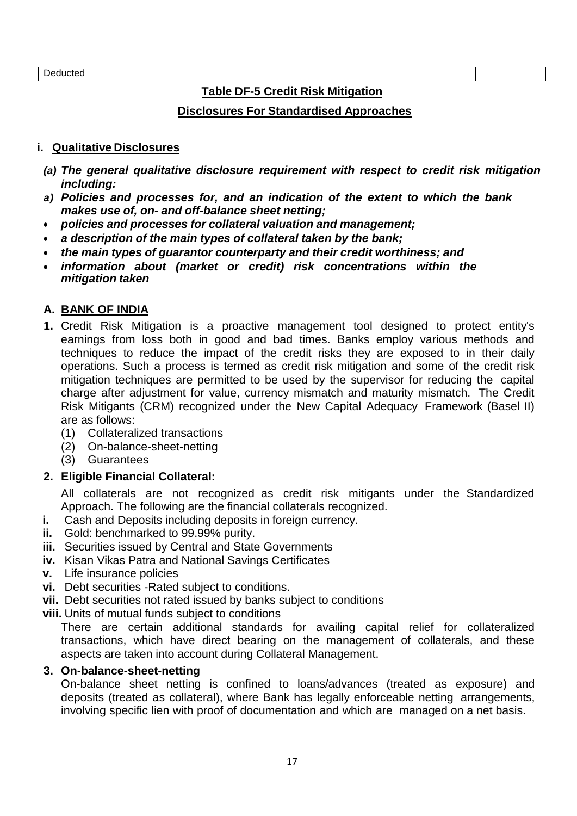**Deducted** 

# **Table DF-5 Credit Risk Mitigation**

# **Disclosures For Standardised Approaches**

#### **i. Qualitative Disclosures**

- *(a) The general qualitative disclosure requirement with respect to credit risk mitigation including:*
- *a) Policies and processes for, and an indication of the extent to which the bank makes use of, on- and off-balance sheet netting;*
- *policies and processes for collateral valuation and management;*
- *a description of the main types of collateral taken by the bank;*
- *the main types of guarantor counterparty and their credit worthiness; and*
- *information about (market or credit) risk concentrations within the mitigation taken*

# **A. BANK OF INDIA**

- **1.** Credit Risk Mitigation is a proactive management tool designed to protect entity's earnings from loss both in good and bad times. Banks employ various methods and techniques to reduce the impact of the credit risks they are exposed to in their daily operations. Such a process is termed as credit risk mitigation and some of the credit risk mitigation techniques are permitted to be used by the supervisor for reducing the capital charge after adjustment for value, currency mismatch and maturity mismatch. The Credit Risk Mitigants (CRM) recognized under the New Capital Adequacy Framework (Basel II) are as follows:
	- (1) Collateralized transactions
	- (2) On-balance-sheet-netting
	- (3) Guarantees

# **2. Eligible Financial Collateral:**

All collaterals are not recognized as credit risk mitigants under the Standardized Approach. The following are the financial collaterals recognized.

- **i.** Cash and Deposits including deposits in foreign currency.
- **ii.** Gold: benchmarked to 99.99% purity.
- **iii.** Securities issued by Central and State Governments
- **iv.** Kisan Vikas Patra and National Savings Certificates
- **v.** Life insurance policies
- **vi.** Debt securities -Rated subject to conditions.
- **vii.** Debt securities not rated issued by banks subject to conditions
- **viii.** Units of mutual funds subject to conditions

There are certain additional standards for availing capital relief for collateralized transactions, which have direct bearing on the management of collaterals, and these aspects are taken into account during Collateral Management.

#### **3. On-balance-sheet-netting**

On-balance sheet netting is confined to loans/advances (treated as exposure) and deposits (treated as collateral), where Bank has legally enforceable netting arrangements, involving specific lien with proof of documentation and which are managed on a net basis.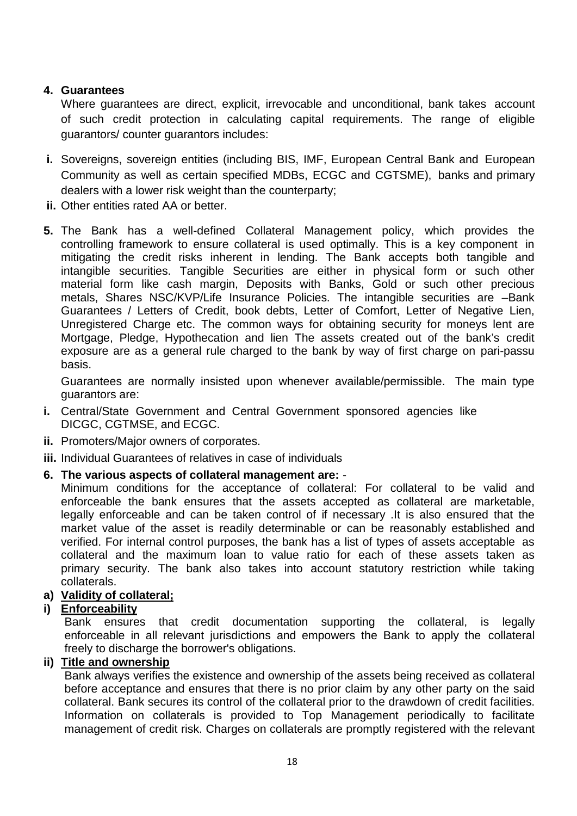# **4. Guarantees**

Where guarantees are direct, explicit, irrevocable and unconditional, bank takes account of such credit protection in calculating capital requirements. The range of eligible guarantors/ counter guarantors includes:

- **i.** Sovereigns, sovereign entities (including BIS, IMF, European Central Bank and European Community as well as certain specified MDBs, ECGC and CGTSME), banks and primary dealers with a lower risk weight than the counterparty;
- **ii.** Other entities rated AA or better.
- **5.** The Bank has a well-defined Collateral Management policy, which provides the controlling framework to ensure collateral is used optimally. This is a key component in mitigating the credit risks inherent in lending. The Bank accepts both tangible and intangible securities. Tangible Securities are either in physical form or such other material form like cash margin, Deposits with Banks, Gold or such other precious metals, Shares NSC/KVP/Life Insurance Policies. The intangible securities are –Bank Guarantees / Letters of Credit, book debts, Letter of Comfort, Letter of Negative Lien, Unregistered Charge etc. The common ways for obtaining security for moneys lent are Mortgage, Pledge, Hypothecation and lien The assets created out of the bank's credit exposure are as a general rule charged to the bank by way of first charge on pari-passu basis.

Guarantees are normally insisted upon whenever available/permissible. The main type guarantors are:

- **i.** Central/State Government and Central Government sponsored agencies like DICGC, CGTMSE, and ECGC.
- **ii.** Promoters/Major owners of corporates.
- **iii.** Individual Guarantees of relatives in case of individuals
- **6. The various aspects of collateral management are:** -

Minimum conditions for the acceptance of collateral: For collateral to be valid and enforceable the bank ensures that the assets accepted as collateral are marketable, legally enforceable and can be taken control of if necessary .It is also ensured that the market value of the asset is readily determinable or can be reasonably established and verified. For internal control purposes, the bank has a list of types of assets acceptable as collateral and the maximum loan to value ratio for each of these assets taken as primary security. The bank also takes into account statutory restriction while taking collaterals.

#### **a) Validity of collateral;**

## **i) Enforceability**

Bank ensures that credit documentation supporting the collateral, is legally enforceable in all relevant jurisdictions and empowers the Bank to apply the collateral freely to discharge the borrower's obligations.

#### **ii) Title and ownership**

Bank always verifies the existence and ownership of the assets being received as collateral before acceptance and ensures that there is no prior claim by any other party on the said collateral. Bank secures its control of the collateral prior to the drawdown of credit facilities. Information on collaterals is provided to Top Management periodically to facilitate management of credit risk. Charges on collaterals are promptly registered with the relevant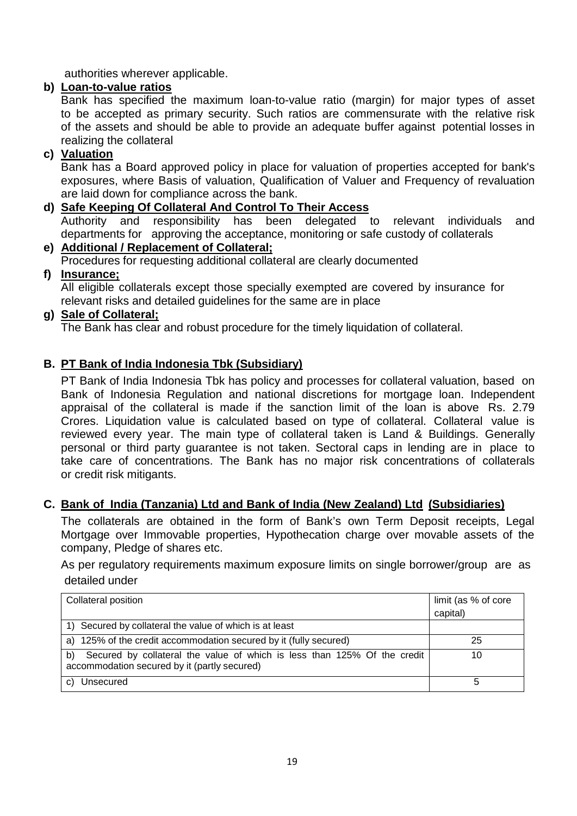authorities wherever applicable.

# **b) Loan-to-value ratios**

Bank has specified the maximum loan-to-value ratio (margin) for major types of asset to be accepted as primary security. Such ratios are commensurate with the relative risk of the assets and should be able to provide an adequate buffer against potential losses in realizing the collateral

# **c) Valuation**

Bank has a Board approved policy in place for valuation of properties accepted for bank's exposures, where Basis of valuation, Qualification of Valuer and Frequency of revaluation are laid down for compliance across the bank.

# **d) Safe Keeping Of Collateral And Control To Their Access**

Authority and responsibility has been delegated to relevant individuals and departments for approving the acceptance, monitoring or safe custody of collaterals

# **e) Additional / Replacement of Collateral;** Procedures for requesting additional collateral are clearly documented

# **f) Insurance;**

All eligible collaterals except those specially exempted are covered by insurance for relevant risks and detailed guidelines for the same are in place

# **g) Sale of Collateral;**

The Bank has clear and robust procedure for the timely liquidation of collateral.

# **B. PT Bank of India Indonesia Tbk (Subsidiary)**

PT Bank of India Indonesia Tbk has policy and processes for collateral valuation, based on Bank of Indonesia Regulation and national discretions for mortgage loan. Independent appraisal of the collateral is made if the sanction limit of the loan is above Rs. 2.79 Crores. Liquidation value is calculated based on type of collateral. Collateral value is reviewed every year. The main type of collateral taken is Land & Buildings. Generally personal or third party guarantee is not taken. Sectoral caps in lending are in place to take care of concentrations. The Bank has no major risk concentrations of collaterals or credit risk mitigants.

# **C. Bank of India (Tanzania) Ltd and Bank of India (New Zealand) Ltd (Subsidiaries)**

The collaterals are obtained in the form of Bank's own Term Deposit receipts, Legal Mortgage over Immovable properties, Hypothecation charge over movable assets of the company, Pledge of shares etc.

As per regulatory requirements maximum exposure limits on single borrower/group are as detailed under

| Collateral position                                                                                                            | limit (as % of core |
|--------------------------------------------------------------------------------------------------------------------------------|---------------------|
|                                                                                                                                | capital)            |
| 1) Secured by collateral the value of which is at least                                                                        |                     |
| a) 125% of the credit accommodation secured by it (fully secured)                                                              | 25                  |
| Secured by collateral the value of which is less than 125% Of the credit<br>b)<br>accommodation secured by it (partly secured) |                     |
| Unsecured<br>C)                                                                                                                |                     |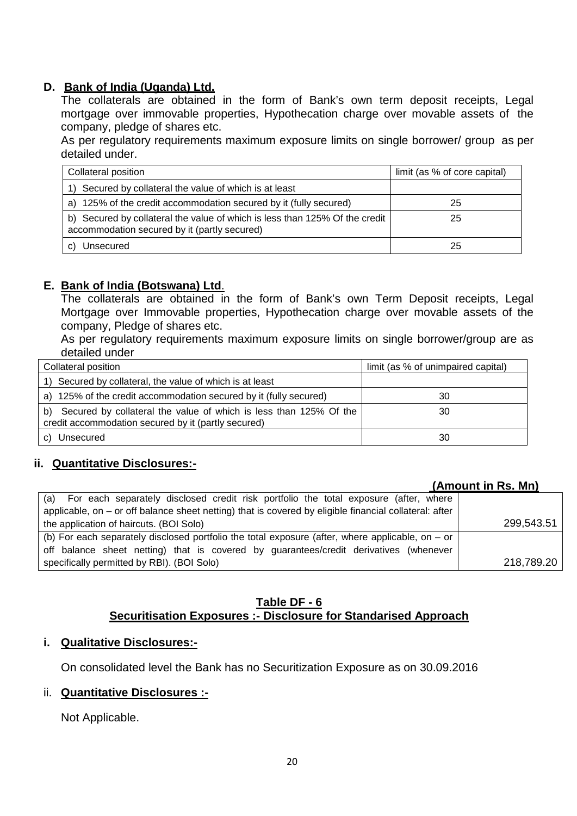# **D. Bank of India (Uganda) Ltd.**

The collaterals are obtained in the form of Bank's own term deposit receipts, Legal mortgage over immovable properties, Hypothecation charge over movable assets of the company, pledge of shares etc.

As per regulatory requirements maximum exposure limits on single borrower/ group as per detailed under.

| Collateral position                                                                                                         | limit (as % of core capital) |
|-----------------------------------------------------------------------------------------------------------------------------|------------------------------|
| 1) Secured by collateral the value of which is at least                                                                     |                              |
| a) 125% of the credit accommodation secured by it (fully secured)                                                           | 25                           |
| b) Secured by collateral the value of which is less than 125% Of the credit<br>accommodation secured by it (partly secured) | 25                           |
| Unsecured                                                                                                                   | 25                           |

#### **E. Bank of India (Botswana) Ltd**.

The collaterals are obtained in the form of Bank's own Term Deposit receipts, Legal Mortgage over Immovable properties, Hypothecation charge over movable assets of the company, Pledge of shares etc.

As per regulatory requirements maximum exposure limits on single borrower/group are as detailed under

| Collateral position                                                                                                            | limit (as % of unimpaired capital) |
|--------------------------------------------------------------------------------------------------------------------------------|------------------------------------|
| Secured by collateral, the value of which is at least<br>1)                                                                    |                                    |
| a) 125% of the credit accommodation secured by it (fully secured)                                                              | 30                                 |
| Secured by collateral the value of which is less than 125% Of the<br>b)<br>credit accommodation secured by it (partly secured) | 30                                 |
| Unsecured<br>C)                                                                                                                | 30                                 |

#### **ii. Quantitative Disclosures:-**

# **(Amount in Rs. Mn)**

| (a) For each separately disclosed credit risk portfolio the total exposure (after, where                 |            |
|----------------------------------------------------------------------------------------------------------|------------|
| applicable, on $-$ or off balance sheet netting) that is covered by eligible financial collateral: after |            |
| the application of haircuts. (BOI Solo)                                                                  | 299,543.51 |
| (b) For each separately disclosed portfolio the total exposure (after, where applicable, on $-$ or       |            |
| off balance sheet netting) that is covered by guarantees/credit derivatives (whenever                    |            |
| specifically permitted by RBI). (BOI Solo)                                                               | 218,789.20 |

#### **Table DF - 6 Securitisation Exposures :- Disclosure for Standarised Approach**

#### **i. Qualitative Disclosures:-**

On consolidated level the Bank has no Securitization Exposure as on 30.09.2016

#### ii. **Quantitative Disclosures :-**

Not Applicable.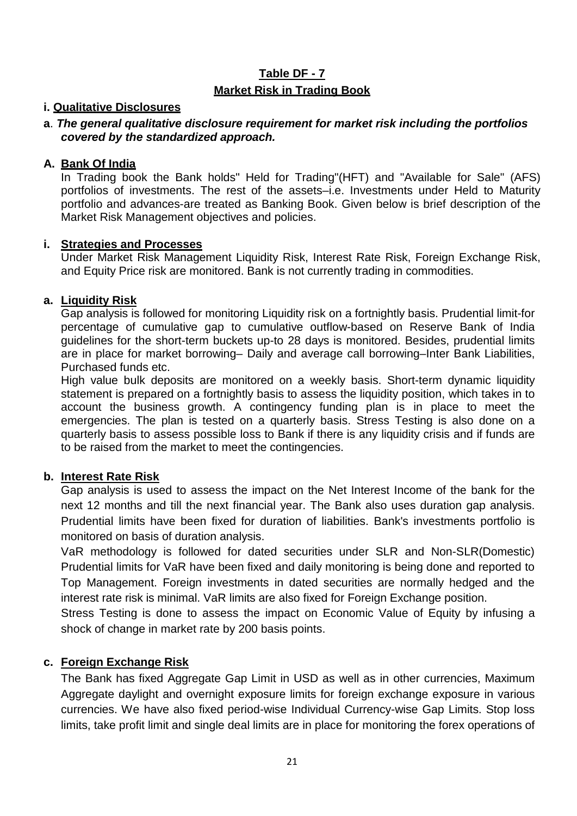# **Table DF - 7 Market Risk in Trading Book**

### **i. Qualitative Disclosures**

### **a**. *The general qualitative disclosure requirement for market risk including the portfolios covered by the standardized approach.*

# **A. Bank Of India**

In Trading book the Bank holds" Held for Trading"(HFT) and "Available for Sale" (AFS) portfolios of investments. The rest of the assets–i.e. Investments under Held to Maturity portfolio and advances-are treated as Banking Book. Given below is brief description of the Market Risk Management objectives and policies.

#### **i. Strategies and Processes**

Under Market Risk Management Liquidity Risk, Interest Rate Risk, Foreign Exchange Risk, and Equity Price risk are monitored. Bank is not currently trading in commodities.

## **a. Liquidity Risk**

Gap analysis is followed for monitoring Liquidity risk on a fortnightly basis. Prudential limit-for percentage of cumulative gap to cumulative outflow-based on Reserve Bank of India guidelines for the short-term buckets up-to 28 days is monitored. Besides, prudential limits are in place for market borrowing– Daily and average call borrowing–Inter Bank Liabilities, Purchased funds etc.

High value bulk deposits are monitored on a weekly basis. Short-term dynamic liquidity statement is prepared on a fortnightly basis to assess the liquidity position, which takes in to account the business growth. A contingency funding plan is in place to meet the emergencies. The plan is tested on a quarterly basis. Stress Testing is also done on a quarterly basis to assess possible loss to Bank if there is any liquidity crisis and if funds are to be raised from the market to meet the contingencies.

# **b. Interest Rate Risk**

Gap analysis is used to assess the impact on the Net Interest Income of the bank for the next 12 months and till the next financial year. The Bank also uses duration gap analysis. Prudential limits have been fixed for duration of liabilities. Bank's investments portfolio is monitored on basis of duration analysis.

VaR methodology is followed for dated securities under SLR and Non-SLR(Domestic) Prudential limits for VaR have been fixed and daily monitoring is being done and reported to Top Management. Foreign investments in dated securities are normally hedged and the interest rate risk is minimal. VaR limits are also fixed for Foreign Exchange position.

Stress Testing is done to assess the impact on Economic Value of Equity by infusing a shock of change in market rate by 200 basis points.

# **c. Foreign Exchange Risk**

The Bank has fixed Aggregate Gap Limit in USD as well as in other currencies, Maximum Aggregate daylight and overnight exposure limits for foreign exchange exposure in various currencies. We have also fixed period-wise Individual Currency-wise Gap Limits. Stop loss limits, take profit limit and single deal limits are in place for monitoring the forex operations of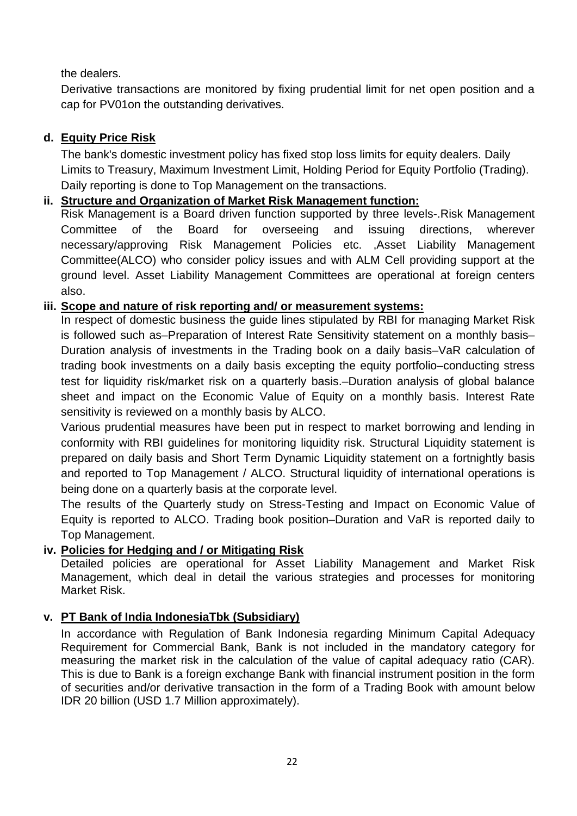# the dealers.

Derivative transactions are monitored by fixing prudential limit for net open position and a cap for PV01on the outstanding derivatives.

# **d. Equity Price Risk**

The bank's domestic investment policy has fixed stop loss limits for equity dealers. Daily Limits to Treasury, Maximum Investment Limit, Holding Period for Equity Portfolio (Trading). Daily reporting is done to Top Management on the transactions.

# **ii. Structure and Organization of Market Risk Management function:**

Risk Management is a Board driven function supported by three levels-.Risk Management Committee of the Board for overseeing and issuing directions, wherever necessary/approving Risk Management Policies etc. ,Asset Liability Management Committee(ALCO) who consider policy issues and with ALM Cell providing support at the ground level. Asset Liability Management Committees are operational at foreign centers also.

# **iii. Scope and nature of risk reporting and/ or measurement systems:**

In respect of domestic business the guide lines stipulated by RBI for managing Market Risk is followed such as–Preparation of Interest Rate Sensitivity statement on a monthly basis– Duration analysis of investments in the Trading book on a daily basis–VaR calculation of trading book investments on a daily basis excepting the equity portfolio–conducting stress test for liquidity risk/market risk on a quarterly basis.–Duration analysis of global balance sheet and impact on the Economic Value of Equity on a monthly basis. Interest Rate sensitivity is reviewed on a monthly basis by ALCO.

Various prudential measures have been put in respect to market borrowing and lending in conformity with RBI guidelines for monitoring liquidity risk. Structural Liquidity statement is prepared on daily basis and Short Term Dynamic Liquidity statement on a fortnightly basis and reported to Top Management / ALCO. Structural liquidity of international operations is being done on a quarterly basis at the corporate level.

The results of the Quarterly study on Stress-Testing and Impact on Economic Value of Equity is reported to ALCO. Trading book position–Duration and VaR is reported daily to Top Management.

# **iv. Policies for Hedging and / or Mitigating Risk**

Detailed policies are operational for Asset Liability Management and Market Risk Management, which deal in detail the various strategies and processes for monitoring Market Risk.

# **v. PT Bank of India IndonesiaTbk (Subsidiary)**

In accordance with Regulation of Bank Indonesia regarding Minimum Capital Adequacy Requirement for Commercial Bank, Bank is not included in the mandatory category for measuring the market risk in the calculation of the value of capital adequacy ratio (CAR). This is due to Bank is a foreign exchange Bank with financial instrument position in the form of securities and/or derivative transaction in the form of a Trading Book with amount below IDR 20 billion (USD 1.7 Million approximately).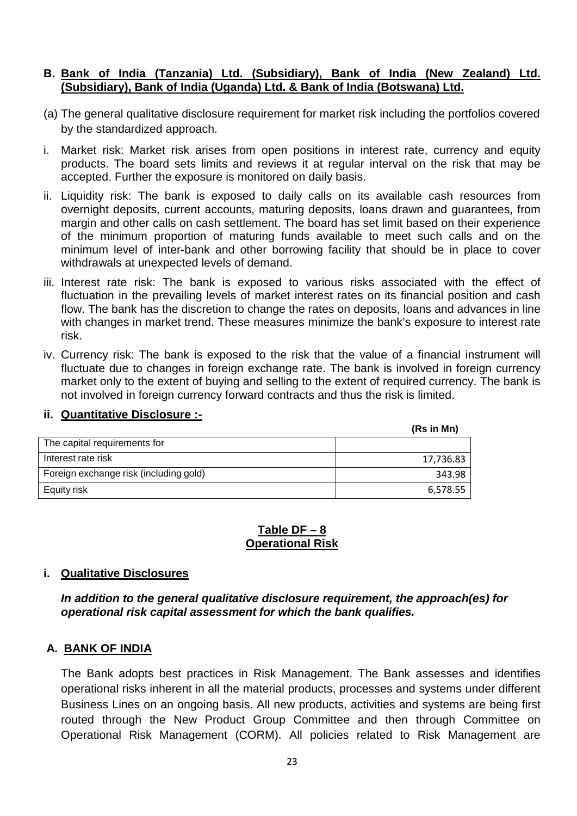#### **B. Bank of India (Tanzania) Ltd. (Subsidiary), Bank of India (New Zealand) Ltd. (Subsidiary), Bank of India (Uganda) Ltd. & Bank of India (Botswana) Ltd.**

- (a) The general qualitative disclosure requirement for market risk including the portfolios covered by the standardized approach.
- i. Market risk: Market risk arises from open positions in interest rate, currency and equity products. The board sets limits and reviews it at regular interval on the risk that may be accepted. Further the exposure is monitored on daily basis.
- ii. Liquidity risk: The bank is exposed to daily calls on its available cash resources from overnight deposits, current accounts, maturing deposits, loans drawn and guarantees, from margin and other calls on cash settlement. The board has set limit based on their experience of the minimum proportion of maturing funds available to meet such calls and on the minimum level of inter-bank and other borrowing facility that should be in place to cover withdrawals at unexpected levels of demand.
- iii. Interest rate risk: The bank is exposed to various risks associated with the effect of fluctuation in the prevailing levels of market interest rates on its financial position and cash flow. The bank has the discretion to change the rates on deposits, loans and advances in line with changes in market trend. These measures minimize the bank's exposure to interest rate risk.
- iv. Currency risk: The bank is exposed to the risk that the value of a financial instrument will fluctuate due to changes in foreign exchange rate. The bank is involved in foreign currency market only to the extent of buying and selling to the extent of required currency. The bank is not involved in foreign currency forward contracts and thus the risk is limited.

#### **ii. Quantitative Disclosure :-**

|                                        | (Rs in Mn) |
|----------------------------------------|------------|
| The capital requirements for           |            |
| Interest rate risk                     | 17,736.83  |
| Foreign exchange risk (including gold) | 343.98     |
| Equity risk                            | 6,578.55   |

#### **Table DF – 8 Operational Risk**

#### **i. Qualitative Disclosures**

*In addition to the general qualitative disclosure requirement, the approach(es) for operational risk capital assessment for which the bank qualifies.*

#### **A. BANK OF INDIA**

The Bank adopts best practices in Risk Management. The Bank assesses and identifies operational risks inherent in all the material products, processes and systems under different Business Lines on an ongoing basis. All new products, activities and systems are being first routed through the New Product Group Committee and then through Committee on Operational Risk Management (CORM). All policies related to Risk Management are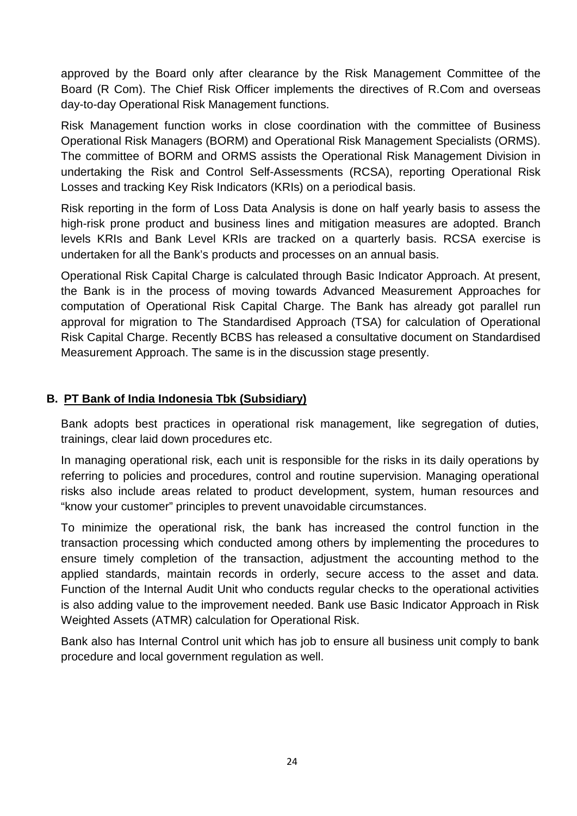approved by the Board only after clearance by the Risk Management Committee of the Board (R Com). The Chief Risk Officer implements the directives of R.Com and overseas day-to-day Operational Risk Management functions.

Risk Management function works in close coordination with the committee of Business Operational Risk Managers (BORM) and Operational Risk Management Specialists (ORMS). The committee of BORM and ORMS assists the Operational Risk Management Division in undertaking the Risk and Control Self-Assessments (RCSA), reporting Operational Risk Losses and tracking Key Risk Indicators (KRIs) on a periodical basis.

Risk reporting in the form of Loss Data Analysis is done on half yearly basis to assess the high-risk prone product and business lines and mitigation measures are adopted. Branch levels KRIs and Bank Level KRIs are tracked on a quarterly basis. RCSA exercise is undertaken for all the Bank's products and processes on an annual basis.

Operational Risk Capital Charge is calculated through Basic Indicator Approach. At present, the Bank is in the process of moving towards Advanced Measurement Approaches for computation of Operational Risk Capital Charge. The Bank has already got parallel run approval for migration to The Standardised Approach (TSA) for calculation of Operational Risk Capital Charge. Recently BCBS has released a consultative document on Standardised Measurement Approach. The same is in the discussion stage presently.

# **B. PT Bank of India Indonesia Tbk (Subsidiary)**

Bank adopts best practices in operational risk management, like segregation of duties, trainings, clear laid down procedures etc.

In managing operational risk, each unit is responsible for the risks in its daily operations by referring to policies and procedures, control and routine supervision. Managing operational risks also include areas related to product development, system, human resources and "know your customer" principles to prevent unavoidable circumstances.

To minimize the operational risk, the bank has increased the control function in the transaction processing which conducted among others by implementing the procedures to ensure timely completion of the transaction, adjustment the accounting method to the applied standards, maintain records in orderly, secure access to the asset and data. Function of the Internal Audit Unit who conducts regular checks to the operational activities is also adding value to the improvement needed. Bank use Basic Indicator Approach in Risk Weighted Assets (ATMR) calculation for Operational Risk.

Bank also has Internal Control unit which has job to ensure all business unit comply to bank procedure and local government regulation as well.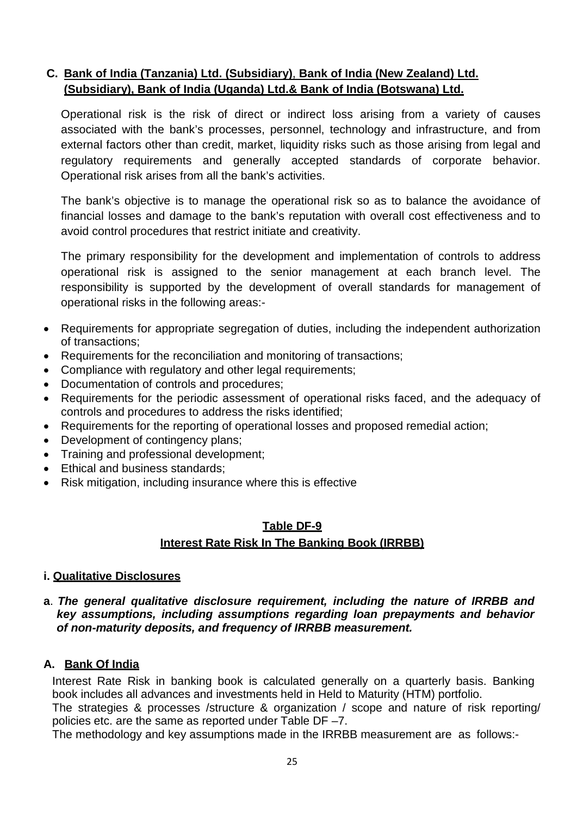# **C. Bank of India (Tanzania) Ltd. (Subsidiary)**, **Bank of India (New Zealand) Ltd. (Subsidiary), Bank of India (Uganda) Ltd.& Bank of India (Botswana) Ltd.**

Operational risk is the risk of direct or indirect loss arising from a variety of causes associated with the bank's processes, personnel, technology and infrastructure, and from external factors other than credit, market, liquidity risks such as those arising from legal and regulatory requirements and generally accepted standards of corporate behavior. Operational risk arises from all the bank's activities.

The bank's objective is to manage the operational risk so as to balance the avoidance of financial losses and damage to the bank's reputation with overall cost effectiveness and to avoid control procedures that restrict initiate and creativity.

The primary responsibility for the development and implementation of controls to address operational risk is assigned to the senior management at each branch level. The responsibility is supported by the development of overall standards for management of operational risks in the following areas:-

- Requirements for appropriate segregation of duties, including the independent authorization of transactions;
- Requirements for the reconciliation and monitoring of transactions;
- Compliance with regulatory and other legal requirements;
- Documentation of controls and procedures;
- Requirements for the periodic assessment of operational risks faced, and the adequacy of controls and procedures to address the risks identified;
- Requirements for the reporting of operational losses and proposed remedial action;
- Development of contingency plans;
- Training and professional development;
- Ethical and business standards;
- Risk mitigation, including insurance where this is effective

# **Table DF-9 Interest Rate Risk In The Banking Book (IRRBB)**

#### **i. Qualitative Disclosures**

#### **a**. *The general qualitative disclosure requirement, including the nature of IRRBB and key assumptions, including assumptions regarding loan prepayments and behavior of non-maturity deposits, and frequency of IRRBB measurement.*

#### **A. Bank Of India**

Interest Rate Risk in banking book is calculated generally on a quarterly basis. Banking book includes all advances and investments held in Held to Maturity (HTM) portfolio.

The strategies & processes /structure & organization / scope and nature of risk reporting/ policies etc. are the same as reported under Table DF –7.

The methodology and key assumptions made in the IRRBB measurement are as follows:-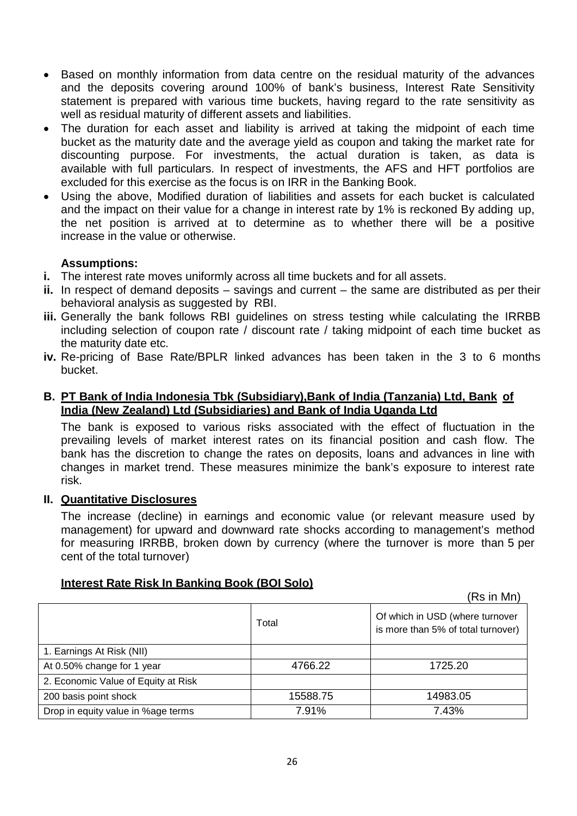- Based on monthly information from data centre on the residual maturity of the advances and the deposits covering around 100% of bank's business, Interest Rate Sensitivity statement is prepared with various time buckets, having regard to the rate sensitivity as well as residual maturity of different assets and liabilities.
- The duration for each asset and liability is arrived at taking the midpoint of each time bucket as the maturity date and the average yield as coupon and taking the market rate for discounting purpose. For investments, the actual duration is taken, as data is available with full particulars. In respect of investments, the AFS and HFT portfolios are excluded for this exercise as the focus is on IRR in the Banking Book.
- Using the above, Modified duration of liabilities and assets for each bucket is calculated and the impact on their value for a change in interest rate by 1% is reckoned By adding up, the net position is arrived at to determine as to whether there will be a positive increase in the value or otherwise.

## **Assumptions:**

- **i.** The interest rate moves uniformly across all time buckets and for all assets.
- **ii.** In respect of demand deposits savings and current the same are distributed as per their behavioral analysis as suggested by RBI.
- **iii.** Generally the bank follows RBI guidelines on stress testing while calculating the IRRBB including selection of coupon rate / discount rate / taking midpoint of each time bucket as the maturity date etc.
- **iv.** Re-pricing of Base Rate/BPLR linked advances has been taken in the 3 to 6 months bucket.

#### **B. PT Bank of India Indonesia Tbk (Subsidiary),Bank of India (Tanzania) Ltd, Bank of India (New Zealand) Ltd (Subsidiaries) and Bank of India Uganda Ltd**

The bank is exposed to various risks associated with the effect of fluctuation in the prevailing levels of market interest rates on its financial position and cash flow. The bank has the discretion to change the rates on deposits, loans and advances in line with changes in market trend. These measures minimize the bank's exposure to interest rate risk.

#### **II. Quantitative Disclosures**

The increase (decline) in earnings and economic value (or relevant measure used by management) for upward and downward rate shocks according to management's method for measuring IRRBB, broken down by currency (where the turnover is more than 5 per cent of the total turnover)

|                                     |          | (Rs in Mn)                                                            |
|-------------------------------------|----------|-----------------------------------------------------------------------|
|                                     | Total    | Of which in USD (where turnover<br>is more than 5% of total turnover) |
| 1. Earnings At Risk (NII)           |          |                                                                       |
| At 0.50% change for 1 year          | 4766.22  | 1725.20                                                               |
| 2. Economic Value of Equity at Risk |          |                                                                       |
| 200 basis point shock               | 15588.75 | 14983.05                                                              |
| Drop in equity value in %age terms  | 7.91%    | 7.43%                                                                 |

# **Interest Rate Risk In Banking Book (BOI Solo)**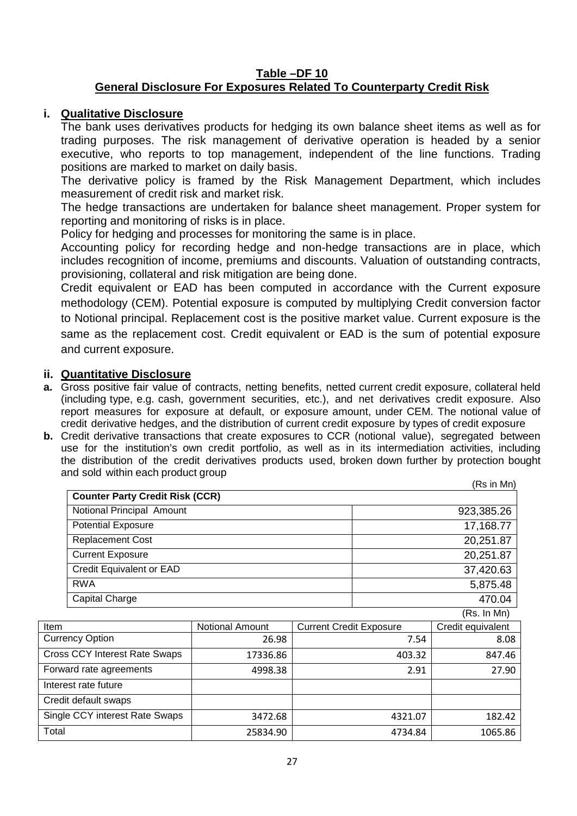#### **Table –DF 10 General Disclosure For Exposures Related To Counterparty Credit Risk**

## **i. Qualitative Disclosure**

The bank uses derivatives products for hedging its own balance sheet items as well as for trading purposes. The risk management of derivative operation is headed by a senior executive, who reports to top management, independent of the line functions. Trading positions are marked to market on daily basis.

The derivative policy is framed by the Risk Management Department, which includes measurement of credit risk and market risk.

The hedge transactions are undertaken for balance sheet management. Proper system for reporting and monitoring of risks is in place.

Policy for hedging and processes for monitoring the same is in place.

Accounting policy for recording hedge and non-hedge transactions are in place, which includes recognition of income, premiums and discounts. Valuation of outstanding contracts, provisioning, collateral and risk mitigation are being done.

Credit equivalent or EAD has been computed in accordance with the Current exposure methodology (CEM). Potential exposure is computed by multiplying Credit conversion factor to Notional principal. Replacement cost is the positive market value. Current exposure is the same as the replacement cost. Credit equivalent or EAD is the sum of potential exposure and current exposure.

#### **ii. Quantitative Disclosure**

- **a.** Gross positive fair value of contracts, netting benefits, netted current credit exposure, collateral held (including type, e.g. cash, government securities, etc.), and net derivatives credit exposure. Also report measures for exposure at default, or exposure amount, under CEM. The notional value of credit derivative hedges, and the distribution of current credit exposure by types of credit exposure
- **b.** Credit derivative transactions that create exposures to CCR (notional value), segregated between use for the institution's own credit portfolio, as well as in its intermediation activities, including the distribution of the credit derivatives products used, broken down further by protection bought and sold within each product group

|             |                                        |                        |                                |         | (Rs in Mn)        |
|-------------|----------------------------------------|------------------------|--------------------------------|---------|-------------------|
|             | <b>Counter Party Credit Risk (CCR)</b> |                        |                                |         |                   |
|             | Notional Principal Amount              |                        |                                |         | 923,385.26        |
|             | <b>Potential Exposure</b>              |                        |                                |         | 17,168.77         |
|             | <b>Replacement Cost</b>                |                        |                                |         | 20,251.87         |
|             | <b>Current Exposure</b>                |                        |                                |         | 20,251.87         |
|             | Credit Equivalent or EAD               |                        |                                |         | 37,420.63         |
|             | <b>RWA</b>                             |                        |                                |         | 5,875.48          |
|             | Capital Charge                         |                        |                                |         | 470.04            |
|             |                                        |                        |                                |         | (Rs. In Mn)       |
| <b>Item</b> |                                        | <b>Notional Amount</b> | <b>Current Credit Exposure</b> |         | Credit equivalent |
|             | <b>Currency Option</b>                 | 26.98                  |                                | 7.54    | 8.08              |
|             | <b>Cross CCY Interest Rate Swaps</b>   | 17336.86               |                                | 403.32  | 847.46            |
|             | Forward rate agreements                | 4998.38                |                                | 2.91    | 27.90             |
|             | Interest rate future                   |                        |                                |         |                   |
|             | Credit default swaps                   |                        |                                |         |                   |
|             | Single CCY interest Rate Swaps         | 3472.68                |                                | 4321.07 | 182.42            |
| Total       |                                        | 25834.90               |                                | 4734.84 | 1065.86           |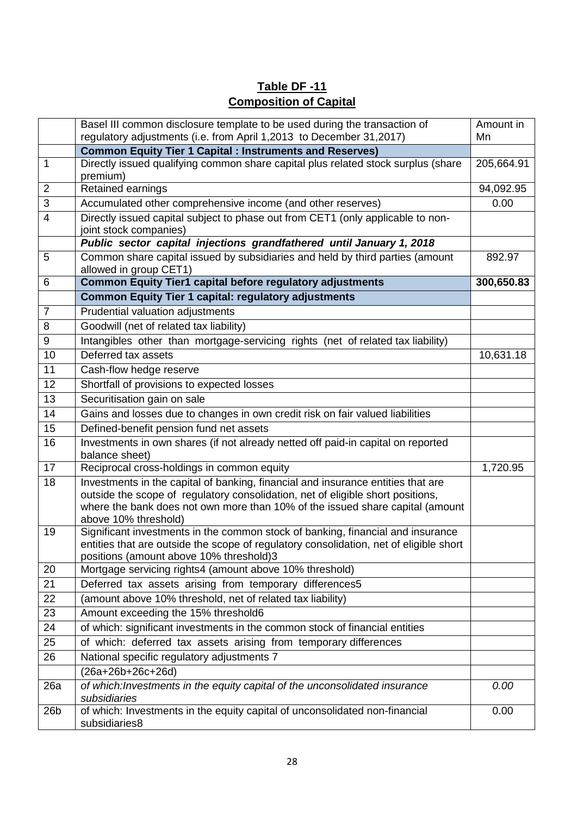# **Table DF -11 Composition of Capital**

|                | Basel III common disclosure template to be used during the transaction of<br>regulatory adjustments (i.e. from April 1,2013 to December 31,2017)                                                                                                                             | Amount in<br>Mn |
|----------------|------------------------------------------------------------------------------------------------------------------------------------------------------------------------------------------------------------------------------------------------------------------------------|-----------------|
|                | <b>Common Equity Tier 1 Capital : Instruments and Reserves)</b>                                                                                                                                                                                                              |                 |
| $\mathbf{1}$   | Directly issued qualifying common share capital plus related stock surplus (share<br>premium)                                                                                                                                                                                | 205,664.91      |
| $\overline{2}$ | Retained earnings                                                                                                                                                                                                                                                            | 94,092.95       |
| 3              | Accumulated other comprehensive income (and other reserves)                                                                                                                                                                                                                  | 0.00            |
| $\overline{4}$ | Directly issued capital subject to phase out from CET1 (only applicable to non-<br>joint stock companies)                                                                                                                                                                    |                 |
|                | Public sector capital injections grandfathered until January 1, 2018                                                                                                                                                                                                         |                 |
| 5              | Common share capital issued by subsidiaries and held by third parties (amount<br>allowed in group CET1)                                                                                                                                                                      | 892.97          |
| 6              | <b>Common Equity Tier1 capital before regulatory adjustments</b>                                                                                                                                                                                                             | 300,650.83      |
|                | <b>Common Equity Tier 1 capital: regulatory adjustments</b>                                                                                                                                                                                                                  |                 |
| $\overline{7}$ | Prudential valuation adjustments                                                                                                                                                                                                                                             |                 |
| 8              | Goodwill (net of related tax liability)                                                                                                                                                                                                                                      |                 |
| 9              | Intangibles other than mortgage-servicing rights (net of related tax liability)                                                                                                                                                                                              |                 |
| 10             | Deferred tax assets                                                                                                                                                                                                                                                          | 10,631.18       |
| 11             | Cash-flow hedge reserve                                                                                                                                                                                                                                                      |                 |
| 12             | Shortfall of provisions to expected losses                                                                                                                                                                                                                                   |                 |
| 13             | Securitisation gain on sale                                                                                                                                                                                                                                                  |                 |
| 14             | Gains and losses due to changes in own credit risk on fair valued liabilities                                                                                                                                                                                                |                 |
| 15             | Defined-benefit pension fund net assets                                                                                                                                                                                                                                      |                 |
| 16             | Investments in own shares (if not already netted off paid-in capital on reported<br>balance sheet)                                                                                                                                                                           |                 |
| 17             | Reciprocal cross-holdings in common equity                                                                                                                                                                                                                                   | 1,720.95        |
| 18             | Investments in the capital of banking, financial and insurance entities that are<br>outside the scope of regulatory consolidation, net of eligible short positions,<br>where the bank does not own more than 10% of the issued share capital (amount<br>above 10% threshold) |                 |
| 19             | Significant investments in the common stock of banking, financial and insurance<br>entities that are outside the scope of regulatory consolidation, net of eligible short<br>positions (amount above 10% threshold)3                                                         |                 |
| 20             | Mortgage servicing rights4 (amount above 10% threshold)                                                                                                                                                                                                                      |                 |
| 21             | Deferred tax assets arising from temporary differences5                                                                                                                                                                                                                      |                 |
| 22             | (amount above 10% threshold, net of related tax liability)                                                                                                                                                                                                                   |                 |
| 23             | Amount exceeding the 15% threshold6                                                                                                                                                                                                                                          |                 |
| 24             | of which: significant investments in the common stock of financial entities                                                                                                                                                                                                  |                 |
| 25             | of which: deferred tax assets arising from temporary differences                                                                                                                                                                                                             |                 |
| 26             | National specific regulatory adjustments 7                                                                                                                                                                                                                                   |                 |
|                | (26a+26b+26c+26d)                                                                                                                                                                                                                                                            |                 |
| 26a            | of which: Investments in the equity capital of the unconsolidated insurance<br>subsidiaries                                                                                                                                                                                  | 0.00            |
| 26b            | of which: Investments in the equity capital of unconsolidated non-financial<br>subsidiaries8                                                                                                                                                                                 | 0.00            |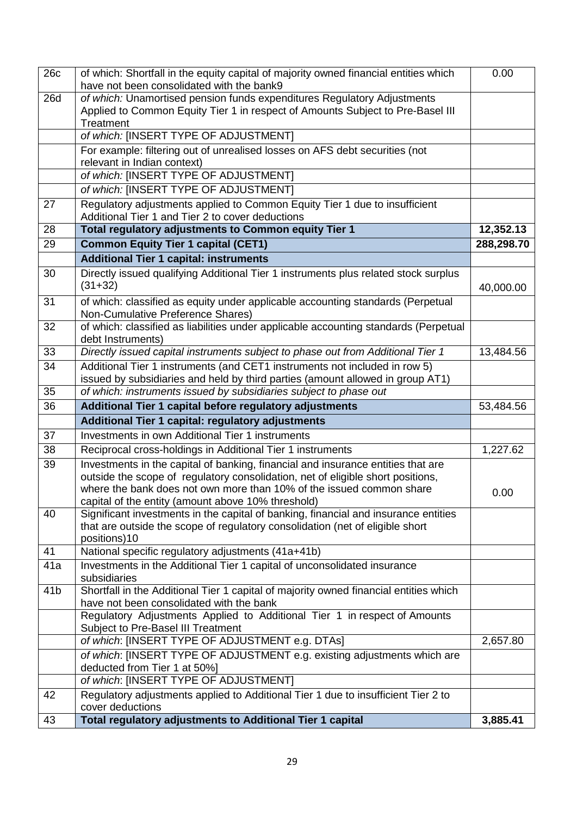| 26c             | of which: Shortfall in the equity capital of majority owned financial entities which<br>have not been consolidated with the bank9                                                                                                           | 0.00       |
|-----------------|---------------------------------------------------------------------------------------------------------------------------------------------------------------------------------------------------------------------------------------------|------------|
| <b>26d</b>      | of which: Unamortised pension funds expenditures Regulatory Adjustments<br>Applied to Common Equity Tier 1 in respect of Amounts Subject to Pre-Basel III<br>Treatment                                                                      |            |
|                 | of which: [INSERT TYPE OF ADJUSTMENT]                                                                                                                                                                                                       |            |
|                 | For example: filtering out of unrealised losses on AFS debt securities (not                                                                                                                                                                 |            |
|                 | relevant in Indian context)                                                                                                                                                                                                                 |            |
|                 | of which: [INSERT TYPE OF ADJUSTMENT]                                                                                                                                                                                                       |            |
|                 | of which: [INSERT TYPE OF ADJUSTMENT]                                                                                                                                                                                                       |            |
| 27              | Regulatory adjustments applied to Common Equity Tier 1 due to insufficient                                                                                                                                                                  |            |
| 28              | Additional Tier 1 and Tier 2 to cover deductions<br>Total regulatory adjustments to Common equity Tier 1                                                                                                                                    | 12,352.13  |
| 29              | <b>Common Equity Tier 1 capital (CET1)</b>                                                                                                                                                                                                  | 288,298.70 |
|                 | <b>Additional Tier 1 capital: instruments</b>                                                                                                                                                                                               |            |
| 30              | Directly issued qualifying Additional Tier 1 instruments plus related stock surplus                                                                                                                                                         |            |
|                 | $(31+32)$                                                                                                                                                                                                                                   | 40,000.00  |
| 31              | of which: classified as equity under applicable accounting standards (Perpetual<br>Non-Cumulative Preference Shares)                                                                                                                        |            |
| 32              | of which: classified as liabilities under applicable accounting standards (Perpetual<br>debt Instruments)                                                                                                                                   |            |
| 33              | Directly issued capital instruments subject to phase out from Additional Tier 1                                                                                                                                                             | 13,484.56  |
| 34              | Additional Tier 1 instruments (and CET1 instruments not included in row 5)                                                                                                                                                                  |            |
|                 | issued by subsidiaries and held by third parties (amount allowed in group AT1)                                                                                                                                                              |            |
| 35              | of which: instruments issued by subsidiaries subject to phase out                                                                                                                                                                           |            |
|                 | Additional Tier 1 capital before regulatory adjustments                                                                                                                                                                                     |            |
| 36              |                                                                                                                                                                                                                                             | 53,484.56  |
|                 | Additional Tier 1 capital: regulatory adjustments                                                                                                                                                                                           |            |
| 37              | Investments in own Additional Tier 1 instruments                                                                                                                                                                                            |            |
| 38              | Reciprocal cross-holdings in Additional Tier 1 instruments                                                                                                                                                                                  | 1,227.62   |
| 39              | Investments in the capital of banking, financial and insurance entities that are<br>outside the scope of regulatory consolidation, net of eligible short positions,<br>where the bank does not own more than 10% of the issued common share | 0.00       |
| 40              | capital of the entity (amount above 10% threshold)<br>Significant investments in the capital of banking, financial and insurance entities<br>that are outside the scope of regulatory consolidation (net of eligible short<br>positions)10  |            |
| 41              | National specific regulatory adjustments (41a+41b)                                                                                                                                                                                          |            |
| 41a             | Investments in the Additional Tier 1 capital of unconsolidated insurance<br>subsidiaries                                                                                                                                                    |            |
| 41 <sub>b</sub> | Shortfall in the Additional Tier 1 capital of majority owned financial entities which<br>have not been consolidated with the bank                                                                                                           |            |
|                 | Regulatory Adjustments Applied to Additional Tier 1 in respect of Amounts<br>Subject to Pre-Basel III Treatment                                                                                                                             |            |
|                 | of which: [INSERT TYPE OF ADJUSTMENT e.g. DTAs]                                                                                                                                                                                             | 2,657.80   |
|                 | of which: [INSERT TYPE OF ADJUSTMENT e.g. existing adjustments which are                                                                                                                                                                    |            |
|                 | deducted from Tier 1 at 50%]<br>of which: [INSERT TYPE OF ADJUSTMENT]                                                                                                                                                                       |            |
| 42              | Regulatory adjustments applied to Additional Tier 1 due to insufficient Tier 2 to<br>cover deductions                                                                                                                                       |            |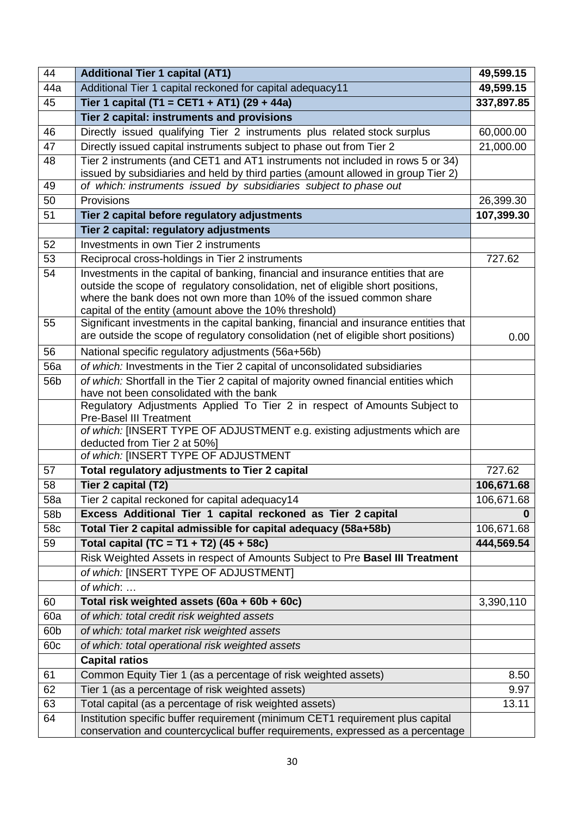| 44         | <b>Additional Tier 1 capital (AT1)</b>                                                                                                                  | 49,599.15  |
|------------|---------------------------------------------------------------------------------------------------------------------------------------------------------|------------|
| 44a        | Additional Tier 1 capital reckoned for capital adequacy11                                                                                               | 49,599.15  |
| 45         | Tier 1 capital (T1 = CET1 + AT1) (29 + 44a)                                                                                                             | 337,897.85 |
|            | Tier 2 capital: instruments and provisions                                                                                                              |            |
| 46         | Directly issued qualifying Tier 2 instruments plus related stock surplus                                                                                | 60,000.00  |
| 47         | Directly issued capital instruments subject to phase out from Tier 2                                                                                    | 21,000.00  |
| 48         | Tier 2 instruments (and CET1 and AT1 instruments not included in rows 5 or 34)                                                                          |            |
|            | issued by subsidiaries and held by third parties (amount allowed in group Tier 2)                                                                       |            |
| 49         | of which: instruments issued by subsidiaries subject to phase out                                                                                       |            |
| 50         | Provisions                                                                                                                                              | 26,399.30  |
| 51         | Tier 2 capital before regulatory adjustments                                                                                                            | 107,399.30 |
|            | Tier 2 capital: regulatory adjustments                                                                                                                  |            |
| 52         | Investments in own Tier 2 instruments                                                                                                                   |            |
| 53         | Reciprocal cross-holdings in Tier 2 instruments                                                                                                         | 727.62     |
| 54         | Investments in the capital of banking, financial and insurance entities that are                                                                        |            |
|            | outside the scope of regulatory consolidation, net of eligible short positions,<br>where the bank does not own more than 10% of the issued common share |            |
|            | capital of the entity (amount above the 10% threshold)                                                                                                  |            |
| 55         | Significant investments in the capital banking, financial and insurance entities that                                                                   |            |
|            | are outside the scope of regulatory consolidation (net of eligible short positions)                                                                     | 0.00       |
| 56         | National specific regulatory adjustments (56a+56b)                                                                                                      |            |
| <b>56a</b> | of which: Investments in the Tier 2 capital of unconsolidated subsidiaries                                                                              |            |
| 56b        | of which: Shortfall in the Tier 2 capital of majority owned financial entities which                                                                    |            |
|            | have not been consolidated with the bank                                                                                                                |            |
|            | Regulatory Adjustments Applied To Tier 2 in respect of Amounts Subject to                                                                               |            |
|            | <b>Pre-Basel III Treatment</b><br>of which: [INSERT TYPE OF ADJUSTMENT e.g. existing adjustments which are                                              |            |
|            | deducted from Tier 2 at 50%]                                                                                                                            |            |
|            | of which: [INSERT TYPE OF ADJUSTMENT                                                                                                                    |            |
| 57         | Total regulatory adjustments to Tier 2 capital                                                                                                          | 727.62     |
| 58         | Tier 2 capital (T2)                                                                                                                                     | 106,671.68 |
| <b>58a</b> | Tier 2 capital reckoned for capital adequacy14                                                                                                          | 106,671.68 |
| 58b        | Excess Additional Tier 1 capital reckoned as Tier 2 capital                                                                                             | 0          |
| 58c        | Total Tier 2 capital admissible for capital adequacy (58a+58b)                                                                                          | 106,671.68 |
| 59         | Total capital (TC = T1 + T2) (45 + 58c)                                                                                                                 | 444,569.54 |
|            | Risk Weighted Assets in respect of Amounts Subject to Pre Basel III Treatment                                                                           |            |
|            | of which: [INSERT TYPE OF ADJUSTMENT]                                                                                                                   |            |
|            | of which:                                                                                                                                               |            |
| 60         | Total risk weighted assets (60a + 60b + 60c)                                                                                                            | 3,390,110  |
| 60a        | of which: total credit risk weighted assets                                                                                                             |            |
| 60b        | of which: total market risk weighted assets                                                                                                             |            |
| 60c        | of which: total operational risk weighted assets                                                                                                        |            |
|            | <b>Capital ratios</b>                                                                                                                                   |            |
| 61         | Common Equity Tier 1 (as a percentage of risk weighted assets)                                                                                          | 8.50       |
| 62         | Tier 1 (as a percentage of risk weighted assets)                                                                                                        | 9.97       |
| 63         | Total capital (as a percentage of risk weighted assets)                                                                                                 | 13.11      |
| 64         | Institution specific buffer requirement (minimum CET1 requirement plus capital                                                                          |            |
|            | conservation and countercyclical buffer requirements, expressed as a percentage                                                                         |            |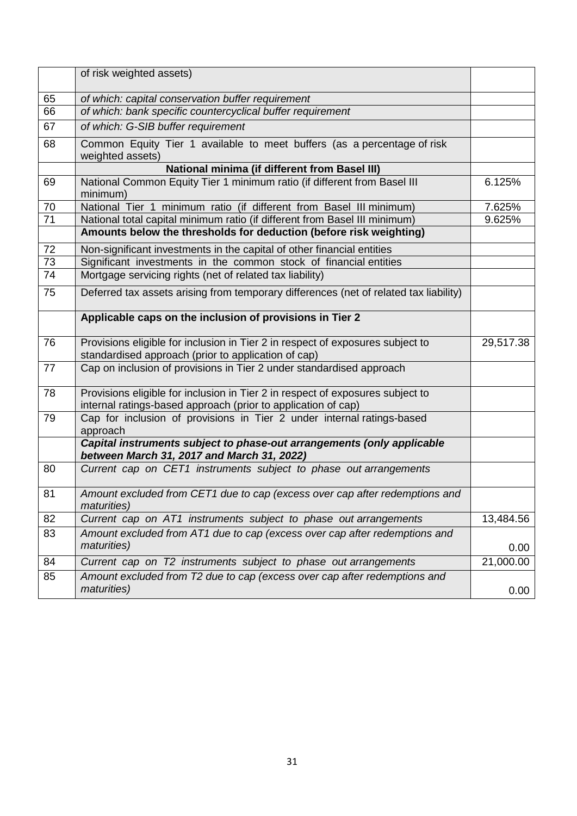|                 | of risk weighted assets)                                                                                                                        |           |
|-----------------|-------------------------------------------------------------------------------------------------------------------------------------------------|-----------|
| 65              | of which: capital conservation buffer requirement                                                                                               |           |
| 66              | of which: bank specific countercyclical buffer requirement                                                                                      |           |
| 67              | of which: G-SIB buffer requirement                                                                                                              |           |
| 68              | Common Equity Tier 1 available to meet buffers (as a percentage of risk<br>weighted assets)                                                     |           |
|                 | <b>National minima (if different from Basel III)</b>                                                                                            |           |
| 69              | National Common Equity Tier 1 minimum ratio (if different from Basel III<br>minimum)                                                            | 6.125%    |
| 70              | National Tier 1 minimum ratio (if different from Basel III minimum)                                                                             | 7.625%    |
| $\overline{71}$ | National total capital minimum ratio (if different from Basel III minimum)                                                                      | 9.625%    |
|                 | Amounts below the thresholds for deduction (before risk weighting)                                                                              |           |
| 72              | Non-significant investments in the capital of other financial entities                                                                          |           |
| $\overline{73}$ | Significant investments in the common stock of financial entities                                                                               |           |
| 74              | Mortgage servicing rights (net of related tax liability)                                                                                        |           |
| 75              | Deferred tax assets arising from temporary differences (net of related tax liability)                                                           |           |
|                 | Applicable caps on the inclusion of provisions in Tier 2                                                                                        |           |
| 76              | Provisions eligible for inclusion in Tier 2 in respect of exposures subject to<br>standardised approach (prior to application of cap)           | 29,517.38 |
| 77              | Cap on inclusion of provisions in Tier 2 under standardised approach                                                                            |           |
| 78              | Provisions eligible for inclusion in Tier 2 in respect of exposures subject to<br>internal ratings-based approach (prior to application of cap) |           |
| 79              | Cap for inclusion of provisions in Tier 2 under internal ratings-based<br>approach                                                              |           |
|                 | Capital instruments subject to phase-out arrangements (only applicable<br>between March 31, 2017 and March 31, 2022)                            |           |
| 80              | Current cap on CET1 instruments subject to phase out arrangements                                                                               |           |
| 81              | Amount excluded from CET1 due to cap (excess over cap after redemptions and<br><i>maturities</i> )                                              |           |
| 82              | Current cap on AT1 instruments subject to phase out arrangements                                                                                | 13,484.56 |
| 83              | Amount excluded from AT1 due to cap (excess over cap after redemptions and                                                                      |           |
|                 | maturities)                                                                                                                                     | 0.00      |
| 84              | Current cap on T2 instruments subject to phase out arrangements                                                                                 | 21,000.00 |
| 85              | Amount excluded from T2 due to cap (excess over cap after redemptions and<br>maturities)                                                        | 0.00      |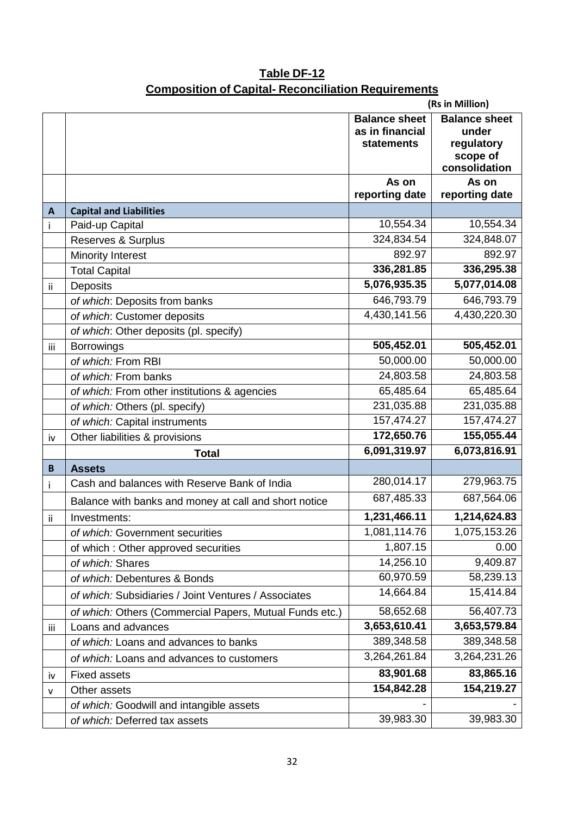|     | (Rs in Million)                                         |                                                              |                                                                          |  |  |
|-----|---------------------------------------------------------|--------------------------------------------------------------|--------------------------------------------------------------------------|--|--|
|     |                                                         | <b>Balance sheet</b><br>as in financial<br><b>statements</b> | <b>Balance sheet</b><br>under<br>regulatory<br>scope of<br>consolidation |  |  |
|     |                                                         | As on<br>reporting date                                      | As on<br>reporting date                                                  |  |  |
| A   | <b>Capital and Liabilities</b>                          |                                                              |                                                                          |  |  |
| Ť   | Paid-up Capital                                         | 10,554.34                                                    | 10,554.34                                                                |  |  |
|     | Reserves & Surplus                                      | 324,834.54                                                   | 324,848.07                                                               |  |  |
|     | Minority Interest                                       | 892.97                                                       | 892.97                                                                   |  |  |
|     | <b>Total Capital</b>                                    | 336,281.85                                                   | 336,295.38                                                               |  |  |
| ii  | Deposits                                                | 5,076,935.35                                                 | 5,077,014.08                                                             |  |  |
|     | of which: Deposits from banks                           | 646,793.79                                                   | 646,793.79                                                               |  |  |
|     | of which: Customer deposits                             | 4,430,141.56                                                 | 4,430,220.30                                                             |  |  |
|     | of which: Other deposits (pl. specify)                  |                                                              |                                                                          |  |  |
| iii | <b>Borrowings</b>                                       | 505,452.01                                                   | 505,452.01                                                               |  |  |
|     | of which: From RBI                                      | 50,000.00                                                    | 50,000.00                                                                |  |  |
|     | of which: From banks                                    | 24,803.58                                                    | 24,803.58                                                                |  |  |
|     | of which: From other institutions & agencies            | 65,485.64                                                    | 65,485.64                                                                |  |  |
|     | of which: Others (pl. specify)                          | 231,035.88                                                   | 231,035.88                                                               |  |  |
|     | of which: Capital instruments                           | 157,474.27                                                   | 157,474.27                                                               |  |  |
| iv  | Other liabilities & provisions                          | 172,650.76                                                   | 155,055.44                                                               |  |  |
|     | <b>Total</b>                                            | 6,091,319.97                                                 | 6,073,816.91                                                             |  |  |
| B   | <b>Assets</b>                                           |                                                              |                                                                          |  |  |
| j.  | Cash and balances with Reserve Bank of India            | 280,014.17                                                   | 279,963.75                                                               |  |  |
|     | Balance with banks and money at call and short notice   | 687,485.33                                                   | 687,564.06                                                               |  |  |
| ii  | Investments:                                            | 1,231,466.11                                                 | 1,214,624.83                                                             |  |  |
|     | of which: Government securities                         | 1,081,114.76                                                 | 1,075,153.26                                                             |  |  |
|     | of which: Other approved securities                     | 1,807.15                                                     | 0.00                                                                     |  |  |
|     | of which: Shares                                        | 14,256.10                                                    | 9,409.87                                                                 |  |  |
|     | of which: Debentures & Bonds                            | 60,970.59                                                    | 58,239.13                                                                |  |  |
|     | of which: Subsidiaries / Joint Ventures / Associates    | 14,664.84                                                    | 15,414.84                                                                |  |  |
|     | of which: Others (Commercial Papers, Mutual Funds etc.) | 58,652.68                                                    | 56,407.73                                                                |  |  |
| iii | Loans and advances                                      | 3,653,610.41                                                 | 3,653,579.84                                                             |  |  |
|     | of which: Loans and advances to banks                   | 389,348.58                                                   | 389,348.58                                                               |  |  |
|     | of which: Loans and advances to customers               | 3,264,261.84                                                 | 3,264,231.26                                                             |  |  |
| iv  | <b>Fixed assets</b>                                     | 83,901.68                                                    | 83,865.16                                                                |  |  |
| v   | Other assets                                            | 154,842.28                                                   | 154,219.27                                                               |  |  |
|     | of which: Goodwill and intangible assets                |                                                              |                                                                          |  |  |
|     | of which: Deferred tax assets                           | 39,983.30                                                    | 39,983.30                                                                |  |  |

# **Table DF-12 Composition of Capital- Reconciliation Requirements**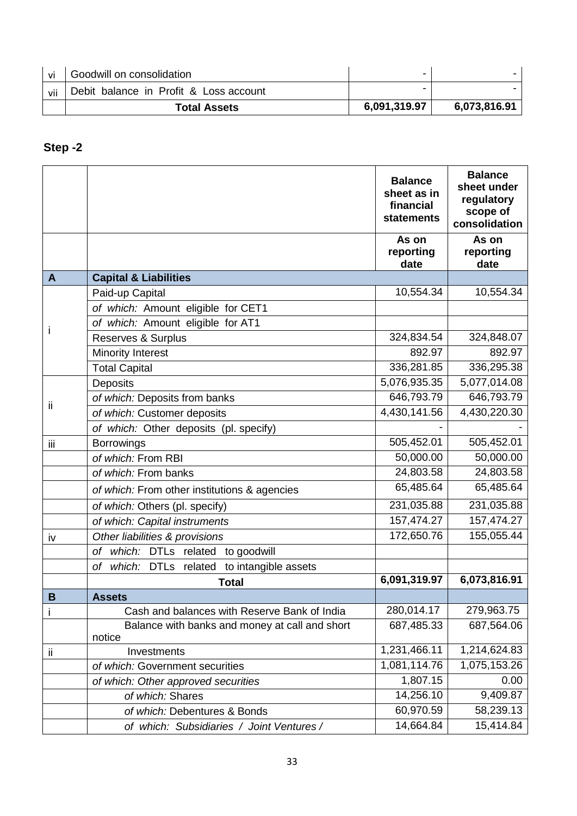| vi  | Goodwill on consolidation              | -            |              |
|-----|----------------------------------------|--------------|--------------|
| vii | Debit balance in Profit & Loss account |              |              |
|     | <b>Total Assets</b>                    | 6,091,319.97 | 6,073,816.91 |

# **Step -2**

|              |                                                                | <b>Balance</b><br>sheet as in<br>financial<br>statements | <b>Balance</b><br>sheet under<br>regulatory<br>scope of<br>consolidation |
|--------------|----------------------------------------------------------------|----------------------------------------------------------|--------------------------------------------------------------------------|
|              |                                                                | As on<br>reporting<br>date                               | As on<br>reporting<br>date                                               |
| $\mathbf{A}$ | <b>Capital &amp; Liabilities</b>                               |                                                          |                                                                          |
|              | Paid-up Capital                                                | 10,554.34                                                | 10,554.34                                                                |
|              | of which: Amount eligible for CET1                             |                                                          |                                                                          |
|              | of which: Amount eligible for AT1                              |                                                          |                                                                          |
| Ť            | Reserves & Surplus                                             | 324,834.54                                               | 324,848.07                                                               |
|              | <b>Minority Interest</b>                                       | 892.97                                                   | 892.97                                                                   |
|              | <b>Total Capital</b>                                           | 336,281.85                                               | 336,295.38                                                               |
|              | Deposits                                                       | 5,076,935.35                                             | 5,077,014.08                                                             |
| ij           | of which: Deposits from banks                                  | 646,793.79                                               | 646,793.79                                                               |
|              | of which: Customer deposits                                    | 4,430,141.56                                             | 4,430,220.30                                                             |
|              | of which: Other deposits (pl. specify)                         |                                                          |                                                                          |
| iij          | <b>Borrowings</b>                                              | 505,452.01                                               | 505,452.01                                                               |
|              | of which: From RBI                                             | 50,000.00                                                | 50,000.00                                                                |
|              | of which: From banks                                           | 24,803.58                                                | 24,803.58                                                                |
|              | of which: From other institutions & agencies                   | 65,485.64                                                | 65,485.64                                                                |
|              | of which: Others (pl. specify)                                 | 231,035.88                                               | 231,035.88                                                               |
|              | of which: Capital instruments                                  | 157,474.27                                               | 157,474.27                                                               |
| iv           | Other liabilities & provisions                                 | 172,650.76                                               | 155,055.44                                                               |
|              | which: DTLs related to goodwill<br>оf                          |                                                          |                                                                          |
|              | to intangible assets<br>which:<br><b>DTLs</b><br>related<br>оf |                                                          |                                                                          |
|              | <b>Total</b>                                                   | 6,091,319.97                                             | 6,073,816.91                                                             |
| B            | <b>Assets</b>                                                  |                                                          |                                                                          |
| İ            | Cash and balances with Reserve Bank of India                   | 280,014.17                                               | 279,963.75                                                               |
|              | Balance with banks and money at call and short<br>notice       | 687,485.33                                               | 687,564.06                                                               |
| ii           | Investments                                                    | 1,231,466.11                                             | 1,214,624.83                                                             |
|              | of which: Government securities                                | 1,081,114.76                                             | 1,075,153.26                                                             |
|              | of which: Other approved securities                            | 1,807.15                                                 | 0.00                                                                     |
|              | of which: Shares                                               | 14,256.10                                                | 9,409.87                                                                 |
|              | of which: Debentures & Bonds                                   | 60,970.59                                                | 58,239.13                                                                |
|              | of which: Subsidiaries / Joint Ventures /                      | 14,664.84                                                | 15,414.84                                                                |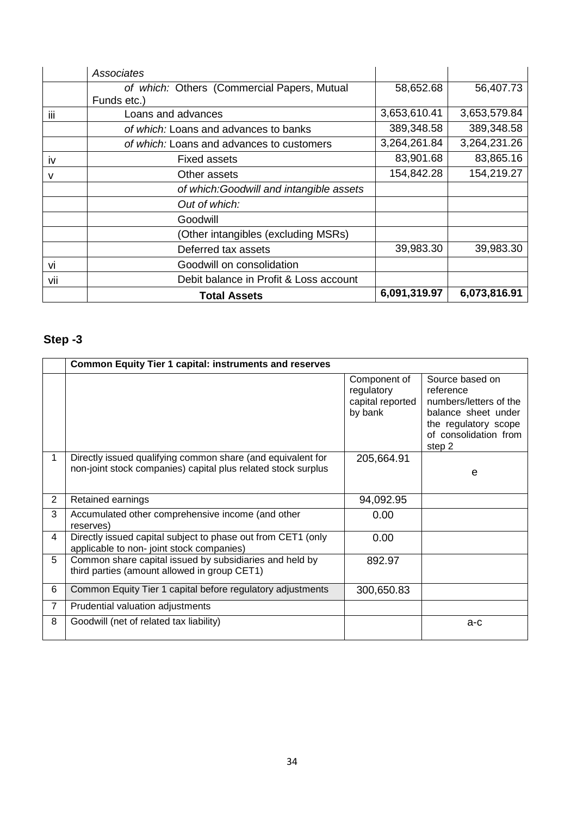|           | Associates                                  |              |              |
|-----------|---------------------------------------------|--------------|--------------|
|           | of which: Others (Commercial Papers, Mutual | 58,652.68    | 56,407.73    |
|           | Funds etc.)                                 |              |              |
| iii       | Loans and advances                          | 3,653,610.41 | 3,653,579.84 |
|           | of which: Loans and advances to banks       | 389,348.58   | 389,348.58   |
|           | of which: Loans and advances to customers   | 3,264,261.84 | 3,264,231.26 |
| <b>iv</b> | <b>Fixed assets</b>                         | 83,901.68    | 83,865.16    |
| v         | Other assets                                | 154,842.28   | 154,219.27   |
|           | of which: Goodwill and intangible assets    |              |              |
|           | Out of which:                               |              |              |
|           | Goodwill                                    |              |              |
|           | (Other intangibles (excluding MSRs)         |              |              |
|           | Deferred tax assets                         | 39,983.30    | 39,983.30    |
| VÌ        | Goodwill on consolidation                   |              |              |
| vii       | Debit balance in Profit & Loss account      |              |              |
|           | <b>Total Assets</b>                         | 6,091,319.97 | 6,073,816.91 |

# **Step -3**

|   | <b>Common Equity Tier 1 capital: instruments and reserves</b>                                                                |                                                           |                                                                                                                                          |
|---|------------------------------------------------------------------------------------------------------------------------------|-----------------------------------------------------------|------------------------------------------------------------------------------------------------------------------------------------------|
|   |                                                                                                                              | Component of<br>regulatory<br>capital reported<br>by bank | Source based on<br>reference<br>numbers/letters of the<br>balance sheet under<br>the regulatory scope<br>of consolidation from<br>step 2 |
|   | Directly issued qualifying common share (and equivalent for<br>non-joint stock companies) capital plus related stock surplus | 205,664.91                                                | e                                                                                                                                        |
| 2 | Retained earnings                                                                                                            | 94,092.95                                                 |                                                                                                                                          |
| 3 | Accumulated other comprehensive income (and other<br>reserves)                                                               | 0.00                                                      |                                                                                                                                          |
| 4 | Directly issued capital subject to phase out from CET1 (only<br>applicable to non-joint stock companies)                     | 0.00                                                      |                                                                                                                                          |
| 5 | Common share capital issued by subsidiaries and held by<br>third parties (amount allowed in group CET1)                      | 892.97                                                    |                                                                                                                                          |
| 6 | Common Equity Tier 1 capital before regulatory adjustments                                                                   | 300,650.83                                                |                                                                                                                                          |
| 7 | Prudential valuation adjustments                                                                                             |                                                           |                                                                                                                                          |
| 8 | Goodwill (net of related tax liability)                                                                                      |                                                           | $a-c$                                                                                                                                    |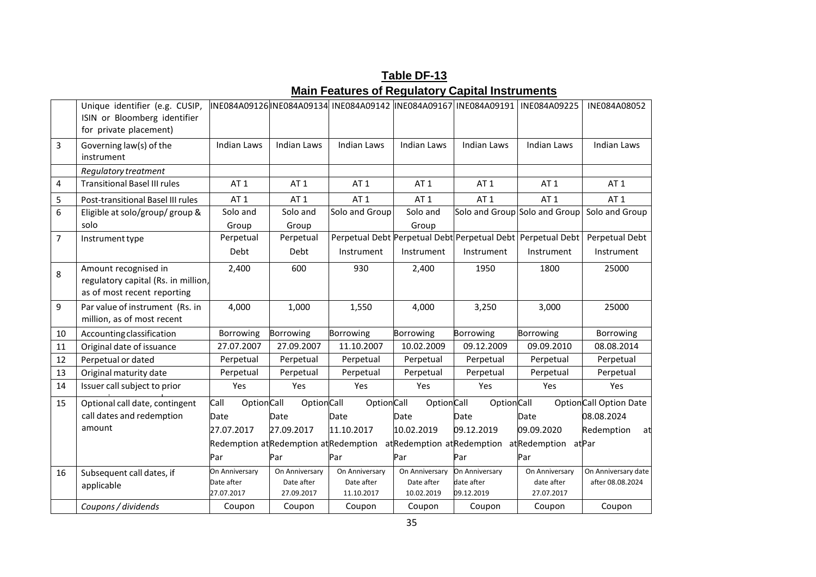|                | Unique identifier (e.g. CUSIP,<br>ISIN or Bloomberg identifier<br>for private placement)   |                                            |                                            | INE084A09126 INE084A09134 INE084A09142 INE084A09167 INE084A09191   |                                            |                                                             | INE084A09225                               | INE084A08052                            |
|----------------|--------------------------------------------------------------------------------------------|--------------------------------------------|--------------------------------------------|--------------------------------------------------------------------|--------------------------------------------|-------------------------------------------------------------|--------------------------------------------|-----------------------------------------|
| $\overline{3}$ | Governing law(s) of the<br>instrument                                                      | <b>Indian Laws</b>                         | <b>Indian Laws</b>                         | <b>Indian Laws</b>                                                 | <b>Indian Laws</b>                         | <b>Indian Laws</b>                                          | <b>Indian Laws</b>                         | <b>Indian Laws</b>                      |
|                | Regulatory treatment                                                                       |                                            |                                            |                                                                    |                                            |                                                             |                                            |                                         |
| $\overline{4}$ | <b>Transitional Basel III rules</b>                                                        | AT <sub>1</sub>                            | AT <sub>1</sub>                            | AT <sub>1</sub>                                                    | AT <sub>1</sub>                            | AT <sub>1</sub>                                             | AT <sub>1</sub>                            | AT <sub>1</sub>                         |
| 5              | Post-transitional Basel III rules                                                          | AT <sub>1</sub>                            | AT <sub>1</sub>                            | AT <sub>1</sub>                                                    | AT <sub>1</sub>                            | AT <sub>1</sub>                                             | AT <sub>1</sub>                            | AT <sub>1</sub>                         |
| 6              | Eligible at solo/group/ group &                                                            | Solo and                                   | Solo and                                   | Solo and Group                                                     | Solo and                                   | Solo and Group Solo and Group                               |                                            | Solo and Group                          |
|                | solo                                                                                       | Group                                      | Group                                      |                                                                    | Group                                      |                                                             |                                            |                                         |
| $\overline{7}$ | Instrument type                                                                            | Perpetual                                  | Perpetual                                  |                                                                    |                                            | Perpetual Debt Perpetual Debt Perpetual Debt Perpetual Debt |                                            | Perpetual Debt                          |
|                |                                                                                            | Debt                                       | Debt                                       | Instrument                                                         | Instrument                                 | Instrument                                                  | Instrument                                 | Instrument                              |
| 8              | Amount recognised in<br>regulatory capital (Rs. in million,<br>as of most recent reporting | 2,400                                      | 600                                        | 930                                                                | 2,400                                      | 1950                                                        | 1800                                       | 25000                                   |
| 9              | Par value of instrument (Rs. in<br>million, as of most recent                              | 4,000                                      | 1,000                                      | 1,550                                                              | 4,000                                      | 3,250                                                       | 3,000                                      | 25000                                   |
| 10             | Accounting classification                                                                  | Borrowing                                  | Borrowing                                  | Borrowing                                                          | Borrowing                                  | <b>Borrowing</b>                                            | <b>Borrowing</b>                           | Borrowing                               |
| 11             | Original date of issuance                                                                  | 27.07.2007                                 | 27.09.2007                                 | 11.10.2007                                                         | 10.02.2009                                 | 09.12.2009                                                  | 09.09.2010                                 | 08.08.2014                              |
| 12             | Perpetual or dated                                                                         | Perpetual                                  | Perpetual                                  | Perpetual                                                          | Perpetual                                  | Perpetual                                                   | Perpetual                                  | Perpetual                               |
| 13             | Original maturity date                                                                     | Perpetual                                  | Perpetual                                  | Perpetual                                                          | Perpetual                                  | Perpetual                                                   | Perpetual                                  | Perpetual                               |
| 14             | Issuer call subject to prior                                                               | Yes                                        | Yes                                        | Yes                                                                | Yes                                        | Yes                                                         | Yes                                        | Yes                                     |
| 15             | Optional call date, contingent<br>call dates and redemption                                | Call<br><b>OptionCall</b>                  | OptionCall                                 | OptionCall                                                         | OptionCall                                 | <b>OptionCall</b>                                           |                                            | <b>OptionCall Option Date</b>           |
|                |                                                                                            | Date                                       | Date                                       | Date                                                               | Date                                       | Date                                                        | Date                                       | 08.08.2024                              |
|                | amount                                                                                     | 27.07.2017                                 | 27.09.2017                                 | 11.10.2017                                                         | 10.02.2019                                 | 09.12.2019                                                  | 09.09.2020                                 | Redemption<br>at                        |
|                |                                                                                            |                                            |                                            | Redemption at Redemption at Redemption at Redemption at Redemption |                                            |                                                             | atRedemption at Par                        |                                         |
|                |                                                                                            | Par                                        | Par                                        | Par                                                                | Par                                        | Par                                                         | Par                                        |                                         |
| 16             | Subsequent call dates, if<br>applicable                                                    | On Anniversary<br>Date after<br>27.07.2017 | On Anniversary<br>Date after<br>27.09.2017 | On Anniversary<br>Date after<br>11.10.2017                         | On Anniversary<br>Date after<br>10.02.2019 | On Anniversary<br>date after<br>09.12.2019                  | On Anniversary<br>date after<br>27.07.2017 | On Anniversary date<br>after 08.08.2024 |
|                | Coupons / dividends                                                                        | Coupon                                     | Coupon                                     | Coupon                                                             | Coupon                                     | Coupon                                                      | Coupon                                     | Coupon                                  |

**Table DF-13 Main Features of Regulatory Capital Instruments**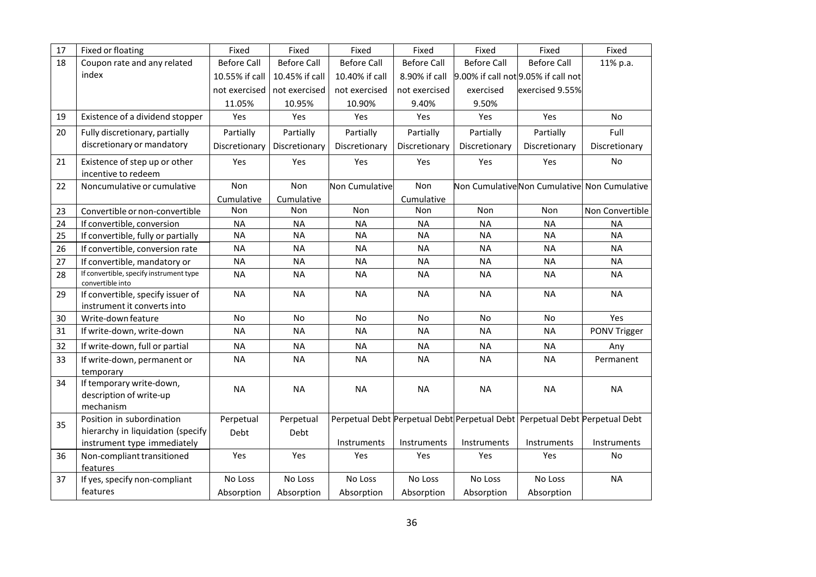| 17 | Fixed or floating                                                | Fixed              | Fixed              | Fixed              | Fixed              | Fixed              | Fixed                                                                      | Fixed                                       |
|----|------------------------------------------------------------------|--------------------|--------------------|--------------------|--------------------|--------------------|----------------------------------------------------------------------------|---------------------------------------------|
| 18 | Coupon rate and any related                                      | <b>Before Call</b> | <b>Before Call</b> | <b>Before Call</b> | <b>Before Call</b> | <b>Before Call</b> | <b>Before Call</b>                                                         | 11% p.a.                                    |
|    | index                                                            | 10.55% if call     | 10.45% if call     | 10.40% if call     | 8.90% if call      |                    | 9.00% if call not 9.05% if call not                                        |                                             |
|    |                                                                  | not exercised      | not exercised      | not exercised      | not exercised      | exercised          | exercised 9.55%                                                            |                                             |
|    |                                                                  | 11.05%             | 10.95%             | 10.90%             | 9.40%              | 9.50%              |                                                                            |                                             |
| 19 | Existence of a dividend stopper                                  | Yes                | Yes                | Yes                | Yes                | Yes                | Yes                                                                        | No                                          |
| 20 | Fully discretionary, partially                                   | Partially          | Partially          | Partially          | Partially          | Partially          | Partially                                                                  | Full                                        |
|    | discretionary or mandatory                                       | Discretionary      | Discretionary      | Discretionary      | Discretionary      | Discretionary      | Discretionary                                                              | Discretionary                               |
| 21 | Existence of step up or other<br>incentive to redeem             | Yes                | Yes                | Yes                | Yes                | Yes                | Yes                                                                        | No                                          |
| 22 | Noncumulative or cumulative                                      | Non                | Non                | Non Cumulative     | Non                |                    |                                                                            | Non CumulativeNon Cumulative Non Cumulative |
|    |                                                                  | Cumulative         | Cumulative         |                    | Cumulative         |                    |                                                                            |                                             |
| 23 | Convertible or non-convertible                                   | Non                | Non                | Non                | Non                | Non                | Non                                                                        | Non Convertible                             |
| 24 | If convertible, conversion                                       | <b>NA</b>          | <b>NA</b>          | <b>NA</b>          | <b>NA</b>          | <b>NA</b>          | <b>NA</b>                                                                  | <b>NA</b>                                   |
| 25 | If convertible, fully or partially                               | <b>NA</b>          | <b>NA</b>          | <b>NA</b>          | <b>NA</b>          | <b>NA</b>          | <b>NA</b>                                                                  | <b>NA</b>                                   |
| 26 | If convertible, conversion rate                                  | <b>NA</b>          | <b>NA</b>          | <b>NA</b>          | <b>NA</b>          | <b>NA</b>          | <b>NA</b>                                                                  | <b>NA</b>                                   |
| 27 | If convertible, mandatory or                                     | <b>NA</b>          | <b>NA</b>          | <b>NA</b>          | <b>NA</b>          | <b>NA</b>          | <b>NA</b>                                                                  | <b>NA</b>                                   |
| 28 | If convertible, specify instrument type<br>convertible into      | <b>NA</b>          | <b>NA</b>          | <b>NA</b>          | <b>NA</b>          | <b>NA</b>          | <b>NA</b>                                                                  | <b>NA</b>                                   |
| 29 | If convertible, specify issuer of<br>instrument it converts into | <b>NA</b>          | <b>NA</b>          | <b>NA</b>          | <b>NA</b>          | <b>NA</b>          | <b>NA</b>                                                                  | <b>NA</b>                                   |
| 30 | Write-down feature                                               | No                 | No                 | No                 | <b>No</b>          | No                 | No                                                                         | Yes                                         |
| 31 | If write-down, write-down                                        | <b>NA</b>          | <b>NA</b>          | <b>NA</b>          | <b>NA</b>          | <b>NA</b>          | <b>NA</b>                                                                  | PONV Trigger                                |
| 32 | If write-down, full or partial                                   | <b>NA</b>          | <b>NA</b>          | <b>NA</b>          | <b>NA</b>          | <b>NA</b>          | <b>NA</b>                                                                  | Any                                         |
| 33 | If write-down, permanent or<br>temporary                         | <b>NA</b>          | <b>NA</b>          | <b>NA</b>          | <b>NA</b>          | <b>NA</b>          | <b>NA</b>                                                                  | Permanent                                   |
| 34 | If temporary write-down,<br>description of write-up<br>mechanism | <b>NA</b>          | <b>NA</b>          | <b>NA</b>          | <b>NA</b>          | <b>NA</b>          | <b>NA</b>                                                                  | <b>NA</b>                                   |
| 35 | Position in subordination                                        | Perpetual          | Perpetual          |                    |                    |                    | Perpetual Debt Perpetual Debt Perpetual Debt Perpetual Debt Perpetual Debt |                                             |
|    | hierarchy in liquidation (specify<br>instrument type immediately | Debt               | Debt               | Instruments        | Instruments        | Instruments        | Instruments                                                                | Instruments                                 |
| 36 | Non-compliant transitioned<br>features                           | Yes                | Yes                | Yes                | Yes                | Yes                | Yes                                                                        | No                                          |
| 37 | If yes, specify non-compliant                                    | No Loss            | No Loss            | No Loss            | No Loss            | No Loss            | No Loss                                                                    | <b>NA</b>                                   |
|    | features                                                         | Absorption         | Absorption         | Absorption         | Absorption         | Absorption         | Absorption                                                                 |                                             |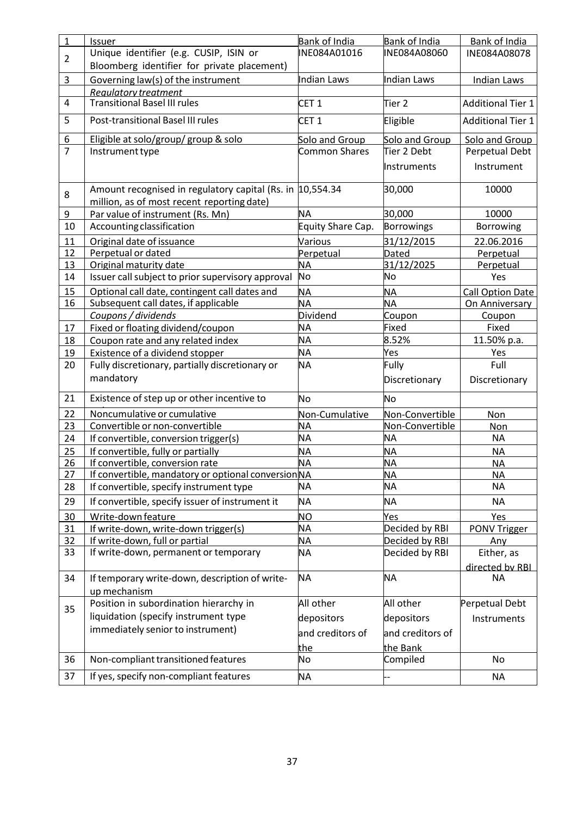| 1              | Issuer                                                                                         | Bank of India          | Bank of India                    | <b>Bank of India</b>         |
|----------------|------------------------------------------------------------------------------------------------|------------------------|----------------------------------|------------------------------|
| $\overline{2}$ | Unique identifier (e.g. CUSIP, ISIN or                                                         | INE084A01016           | INE084A08060                     | INE084A08078                 |
|                | Bloomberg identifier for private placement)                                                    |                        |                                  |                              |
| 3              | Governing law(s) of the instrument                                                             | <b>Indian Laws</b>     | <b>Indian Laws</b>               | <b>Indian Laws</b>           |
|                | Reaulatory treatment                                                                           |                        |                                  |                              |
| 4              | <b>Transitional Basel III rules</b>                                                            | CET <sub>1</sub>       | Tier 2                           | <b>Additional Tier 1</b>     |
| 5              | Post-transitional Basel III rules                                                              | CET <sub>1</sub>       | Eligible                         | <b>Additional Tier 1</b>     |
| 6              | Eligible at solo/group/group & solo                                                            | Solo and Group         | Solo and Group                   | Solo and Group               |
| $\overline{7}$ | Instrument type                                                                                | <b>Common Shares</b>   | Tier 2 Debt                      | Perpetual Debt               |
|                |                                                                                                |                        | Instruments                      | Instrument                   |
| 8              | Amount recognised in regulatory capital (Rs. in 10,554.34                                      |                        | 30,000                           | 10000                        |
|                | million, as of most recent reporting date)                                                     |                        |                                  |                              |
| 9              | Par value of instrument (Rs. Mn)                                                               | <b>NA</b>              | 30,000                           | 10000                        |
| 10             | Accounting classification                                                                      | Equity Share Cap.      | <b>Borrowings</b>                | Borrowing                    |
| 11             | Original date of issuance                                                                      | Various                | 31/12/2015                       | 22.06.2016                   |
| 12             | Perpetual or dated                                                                             | Perpetual              | <b>Dated</b>                     | Perpetual                    |
| 13             | Original maturity date                                                                         | <b>NA</b>              | 31/12/2025                       | Perpetual                    |
| 14             | Issuer call subject to prior supervisory approval                                              | <b>No</b>              | No                               | Yes                          |
| 15             | Optional call date, contingent call dates and                                                  | <b>NA</b>              | <b>NA</b>                        | <b>Call Option Date</b>      |
| 16             | Subsequent call dates, if applicable                                                           | <b>NA</b>              | <b>NA</b>                        | On Anniversary               |
|                | Coupons / dividends                                                                            | Dividend               | Coupon                           | Coupon                       |
| 17             | Fixed or floating dividend/coupon                                                              | <b>NA</b>              | Fixed                            | Fixed                        |
| 18             | Coupon rate and any related index                                                              | <b>NA</b>              | 8.52%                            | 11.50% p.a.                  |
| 19             | Existence of a dividend stopper                                                                | <b>NA</b>              | Yes                              | Yes                          |
| 20             | Fully discretionary, partially discretionary or                                                | <b>NA</b>              | Fully                            | Full                         |
|                | mandatory                                                                                      |                        | Discretionary                    | Discretionary                |
| 21             | Existence of step up or other incentive to                                                     | No                     | No                               |                              |
| 22             | Noncumulative or cumulative                                                                    | Non-Cumulative         | Non-Convertible                  | Non                          |
| 23             | Convertible or non-convertible                                                                 | <b>NA</b>              | Non-Convertible                  | Non                          |
| 24             | If convertible, conversion trigger(s)                                                          | <b>NA</b>              | <b>NA</b>                        | <b>NA</b>                    |
| 25             | If convertible, fully or partially                                                             | <b>NA</b>              | NΑ                               | <b>NA</b>                    |
| 26             | If convertible, conversion rate                                                                | <b>NA</b>              | <b>NA</b>                        | <u>NA</u>                    |
| 27<br>28       | If convertible, mandatory or optional conversion NA<br>If convertible, specify instrument type | NΑ                     | <b>NA</b><br><b>NA</b>           | <b>NA</b><br>NA              |
|                |                                                                                                |                        |                                  |                              |
| 29             | If convertible, specify issuer of instrument it                                                | <b>NA</b>              | <b>NA</b>                        | <b>NA</b>                    |
| 30             | Write-down feature                                                                             | <b>NO</b>              | Yes                              | Yes                          |
| 31<br>32       | If write-down, write-down trigger(s)<br>If write-down, full or partial                         | <b>NA</b>              | Decided by RBI                   | PONV Trigger                 |
| 33             | If write-down, permanent or temporary                                                          | <b>NA</b><br><b>NA</b> | Decided by RBI<br>Decided by RBI | Any<br>Either, as            |
|                |                                                                                                |                        |                                  |                              |
| 34             | If temporary write-down, description of write-                                                 | <b>NA</b>              | <b>NA</b>                        | directed by RBL<br><b>NA</b> |
|                | up mechanism                                                                                   |                        |                                  |                              |
|                | Position in subordination hierarchy in                                                         | All other              | All other                        | Perpetual Debt               |
| 35             | liquidation (specify instrument type                                                           | depositors             | depositors                       | Instruments                  |
|                | immediately senior to instrument)                                                              |                        |                                  |                              |
|                |                                                                                                | and creditors of       | and creditors of                 |                              |
|                |                                                                                                | the                    | the Bank                         |                              |
| 36             | Non-compliant transitioned features                                                            | No                     | Compiled                         | <b>No</b>                    |
| 37             | If yes, specify non-compliant features                                                         | <b>NA</b>              |                                  | <b>NA</b>                    |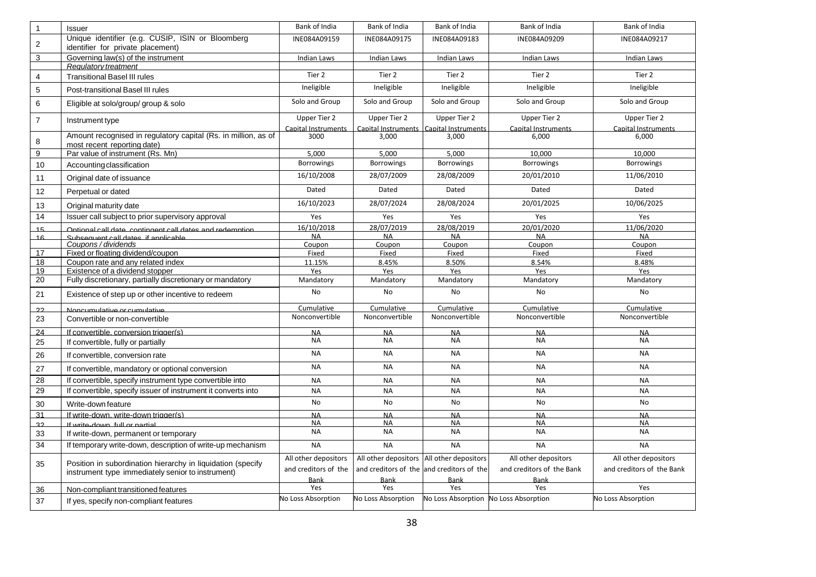| $\overline{1}$ | <b>Issuer</b>                                                                                 | <b>Bank of India</b>                | Bank of India                              | Bank of India                         | Bank of India                       | Bank of India                       |
|----------------|-----------------------------------------------------------------------------------------------|-------------------------------------|--------------------------------------------|---------------------------------------|-------------------------------------|-------------------------------------|
| $\overline{c}$ | Unique identifier (e.g. CUSIP, ISIN or Bloomberg<br>identifier for private placement)         | INE084A09159                        | INE084A09175                               | INE084A09183                          | INE084A09209                        | INE084A09217                        |
| 3              | Governing law(s) of the instrument                                                            | <b>Indian Laws</b>                  | <b>Indian Laws</b>                         | Indian Laws                           | Indian Laws                         | <b>Indian Laws</b>                  |
|                | Regulatory treatment                                                                          |                                     |                                            |                                       |                                     |                                     |
| $\overline{4}$ | <b>Transitional Basel III rules</b>                                                           | Tier 2                              | Tier 2                                     | Tier 2                                | Tier 2                              | Tier 2                              |
| 5              | Post-transitional Basel III rules                                                             | Ineligible                          | Ineligible                                 | Ineligible                            | Ineligible                          | Ineligible                          |
| 6              | Eligible at solo/group/ group & solo                                                          | Solo and Group                      | Solo and Group                             | Solo and Group                        | Solo and Group                      | Solo and Group                      |
| $\overline{7}$ | Instrument type                                                                               | Upper Tier 2<br>Canital Instruments | Upper Tier 2<br>Canital Instruments        | Upper Tier 2<br>Canital Instruments   | Upper Tier 2<br>Canital Instruments | Upper Tier 2<br>Capital Instruments |
| 8              | Amount recognised in regulatory capital (Rs. in million, as of<br>most recent reporting date) | 3000                                | 3,000                                      | 3.000                                 | 6.000                               | 6,000                               |
| 9              | Par value of instrument (Rs. Mn)                                                              | 5.000                               | 5,000                                      | 5.000                                 | 10.000                              | 10,000                              |
| 10             | Accounting classification                                                                     | <b>Borrowings</b>                   | <b>Borrowings</b>                          | <b>Borrowings</b>                     | <b>Borrowings</b>                   | <b>Borrowings</b>                   |
| 11             | Original date of issuance                                                                     | 16/10/2008                          | 28/07/2009                                 | 28/08/2009                            | 20/01/2010                          | 11/06/2010                          |
| 12             | Perpetual or dated                                                                            | Dated                               | Dated                                      | Dated                                 | Dated                               | Dated                               |
| 13             | Original maturity date                                                                        | 16/10/2023                          | 28/07/2024                                 | 28/08/2024                            | 20/01/2025                          | 10/06/2025                          |
| 14             | Issuer call subject to prior supervisory approval                                             | Yes                                 | Yes                                        | Yes                                   | Yes                                 | Yes                                 |
| 15             | Ontional call date contingent call dates and redemntion                                       | 16/10/2018                          | 28/07/2019                                 | 28/08/2019                            | 20/01/2020                          | 11/06/2020                          |
| 16             | Subsequent call dates if annicable                                                            | <b>NA</b>                           | <b>NA</b>                                  | <b>NA</b>                             | <b>NA</b>                           | <b>NA</b>                           |
| 17             | Coupons / dividends<br>Fixed or floating dividend/coupon                                      | Coupon<br>Fixed                     | Coupon<br>Fixed                            | Coupon<br>Fixed                       | Coupon<br>Fixed                     | Coupon<br>Fixed                     |
| 18             | Coupon rate and any related index                                                             | 11.15%                              | 8.45%                                      | 8.50%                                 | 8.54%                               | 8.48%                               |
| 19             | Existence of a dividend stopper                                                               | Yes                                 | Yes                                        | Yes                                   | Yes                                 | Yes                                 |
| 20             | Fully discretionary, partially discretionary or mandatory                                     | Mandatory                           | Mandatory                                  | Mandatory                             | Mandatory                           | Mandatory                           |
| 21             | Existence of step up or other incentive to redeem                                             | No                                  | No                                         | <b>No</b>                             | <b>No</b>                           | No                                  |
| 22             | Noncumulative or cumulative                                                                   | Cumulative                          | Cumulative                                 | Cumulative                            | Cumulative                          | Cumulative                          |
| 23             | Convertible or non-convertible                                                                | Nonconvertible                      | Nonconvertible                             | Nonconvertible                        | Nonconvertible                      | Nonconvertible                      |
| 24             | If convertible, conversion trigger(s)                                                         | <b>NA</b>                           | <b>NA</b>                                  | <b>NA</b>                             | <b>NA</b>                           | <b>NA</b>                           |
| 25             | If convertible, fully or partially                                                            | <b>NA</b>                           | <b>NA</b>                                  | <b>NA</b>                             | <b>NA</b>                           | <b>NA</b>                           |
| 26             | If convertible, conversion rate                                                               | <b>NA</b>                           | <b>NA</b>                                  | <b>NA</b>                             | <b>NA</b>                           | <b>NA</b>                           |
| 27             | If convertible, mandatory or optional conversion                                              | <b>NA</b>                           | <b>NA</b>                                  | <b>NA</b>                             | <b>NA</b>                           | <b>NA</b>                           |
| 28             | If convertible, specify instrument type convertible into                                      | <b>NA</b>                           | <b>NA</b>                                  | <b>NA</b>                             | <b>NA</b>                           | <b>NA</b>                           |
| 29             | If convertible, specify issuer of instrument it converts into                                 | <b>NA</b>                           | <b>NA</b>                                  | <b>NA</b>                             | <b>NA</b>                           | <b>NA</b>                           |
| 30             | Write-down feature                                                                            | No                                  | No                                         | No                                    | No                                  | <b>No</b>                           |
| 31             | If write-down, write-down trigger(s)                                                          | <b>NA</b>                           | <b>NA</b>                                  | <b>NA</b>                             | <b>NA</b>                           | <b>NA</b>                           |
| 22             | If write-down full or partial                                                                 | <b>NA</b>                           | <b>NA</b>                                  | <b>NA</b>                             | <b>NA</b>                           | <b>NA</b>                           |
| 33             | If write-down, permanent or temporary                                                         | <b>NA</b>                           | <b>NA</b>                                  | <b>NA</b>                             | <b>NA</b>                           | <b>NA</b>                           |
| 34             | If temporary write-down, description of write-up mechanism                                    | <b>NA</b>                           | <b>NA</b>                                  | <b>NA</b>                             | <b>NA</b>                           | <b>NA</b>                           |
| 35             | Position in subordination hierarchy in liquidation (specify                                   | All other depositors                | All other depositors All other depositors  |                                       | All other depositors                | All other depositors                |
|                | instrument type immediately senior to instrument)                                             | and creditors of the                | and creditors of the land creditors of the |                                       | and creditors of the Bank           | and creditors of the Bank           |
|                |                                                                                               | <b>Bank</b>                         | <b>Bank</b>                                | <b>Bank</b>                           | <b>Bank</b>                         |                                     |
| 36             | Non-compliant transitioned features                                                           | Yes                                 | Yes                                        | Yes                                   | Yes                                 | Yes                                 |
| 37             | If yes, specify non-compliant features                                                        | No Loss Absorption                  | No Loss Absorption                         | No Loss Absorption No Loss Absorption |                                     | No Loss Absorption                  |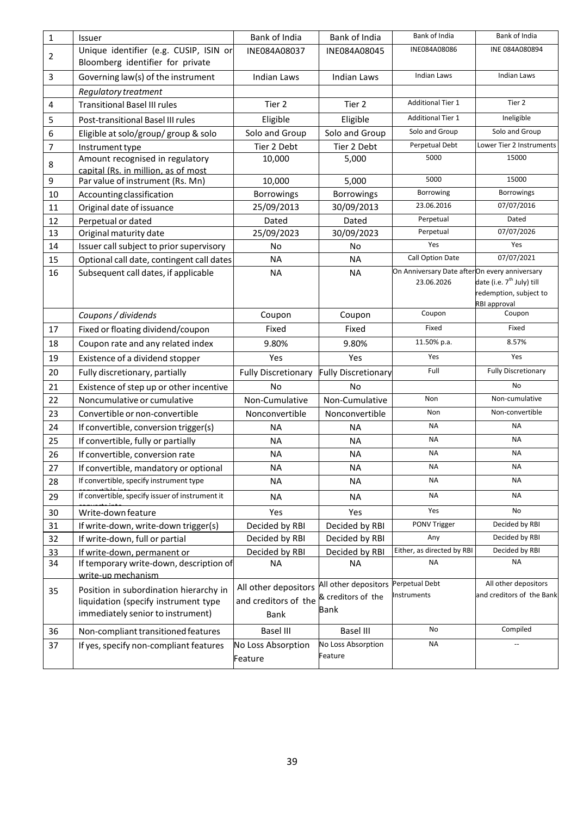| $\mathbf{1}$   | Issuer                                          | Bank of India              | Bank of India              | Bank of India                                 | Bank of India                                     |
|----------------|-------------------------------------------------|----------------------------|----------------------------|-----------------------------------------------|---------------------------------------------------|
| $\overline{2}$ | Unique identifier (e.g. CUSIP, ISIN or          | INE084A08037               | INE084A08045               | INE084A08086                                  | INE 084A080894                                    |
|                | Bloomberg identifier for private                |                            |                            |                                               |                                                   |
| $\overline{3}$ | Governing law(s) of the instrument              | Indian Laws                | Indian Laws                | <b>Indian Laws</b>                            | <b>Indian Laws</b>                                |
|                | Regulatory treatment                            |                            |                            |                                               |                                                   |
| 4              | <b>Transitional Basel III rules</b>             | Tier 2                     | Tier 2                     | <b>Additional Tier 1</b>                      | Tier 2                                            |
| 5              | Post-transitional Basel III rules               | Eligible                   | Eligible                   | <b>Additional Tier 1</b>                      | Ineligible                                        |
| 6              | Eligible at solo/group/ group & solo            | Solo and Group             | Solo and Group             | Solo and Group                                | Solo and Group                                    |
| $\overline{7}$ | Instrument type                                 | Tier 2 Debt                | Tier 2 Debt                | Perpetual Debt                                | Lower Tier 2 Instruments                          |
| 8              | Amount recognised in regulatory                 | 10,000                     | 5,000                      | 5000                                          | 15000                                             |
|                | capital (Rs. in million, as of most             |                            |                            | 5000                                          | 15000                                             |
| 9              | Par value of instrument (Rs. Mn)                | 10,000                     | 5,000                      | Borrowing                                     | <b>Borrowings</b>                                 |
| 10             | Accounting classification                       | <b>Borrowings</b>          | Borrowings                 | 23.06.2016                                    | 07/07/2016                                        |
| 11             | Original date of issuance                       | 25/09/2013                 | 30/09/2013                 | Perpetual                                     | Dated                                             |
| 12             | Perpetual or dated                              | Dated                      | Dated                      | Perpetual                                     | 07/07/2026                                        |
| 13             | Original maturity date                          | 25/09/2023                 | 30/09/2023                 | Yes                                           | Yes                                               |
| 14             | Issuer call subject to prior supervisory        | No                         | No                         | Call Option Date                              | 07/07/2021                                        |
| 15             | Optional call date, contingent call dates       | <b>NA</b>                  | <b>NA</b>                  | On Anniversary Date afterOn every anniversary |                                                   |
| 16             | Subsequent call dates, if applicable            | NA.                        | <b>NA</b>                  | 23.06.2026                                    | date (i.e. 7 <sup>th</sup> July) till             |
|                |                                                 |                            |                            |                                               | redemption, subject to                            |
|                |                                                 |                            |                            |                                               | RBI approval                                      |
|                | Coupons / dividends                             | Coupon                     | Coupon                     | Coupon                                        | Coupon                                            |
| 17             | Fixed or floating dividend/coupon               | Fixed                      | Fixed                      | Fixed                                         | Fixed                                             |
| 18             | Coupon rate and any related index               | 9.80%                      | 9.80%                      | 11.50% p.a.                                   | 8.57%                                             |
| 19             | Existence of a dividend stopper                 | Yes                        | Yes                        | Yes                                           | Yes                                               |
| 20             | Fully discretionary, partially                  | <b>Fully Discretionary</b> | <b>Fully Discretionary</b> | Full                                          | <b>Fully Discretionary</b>                        |
| 21             | Existence of step up or other incentive         | <b>No</b>                  | <b>No</b>                  |                                               | No                                                |
| 22             | Noncumulative or cumulative                     | Non-Cumulative             | Non-Cumulative             | Non                                           | Non-cumulative                                    |
| 23             | Convertible or non-convertible                  | Nonconvertible             | Nonconvertible             | Non                                           | Non-convertible                                   |
| 24             | If convertible, conversion trigger(s)           | <b>NA</b>                  | <b>NA</b>                  | <b>NA</b>                                     | <b>NA</b>                                         |
| 25             | If convertible, fully or partially              | <b>NA</b>                  | <b>NA</b>                  | <b>NA</b>                                     | <b>NA</b>                                         |
| 26             | If convertible, conversion rate                 | <b>NA</b>                  | <b>NA</b>                  | <b>NA</b>                                     | <b>NA</b>                                         |
| 27             | If convertible, mandatory or optional           | <b>NA</b>                  | <b>NA</b>                  | NA                                            | NA                                                |
| 28             | If convertible, specify instrument type         | <b>NA</b>                  | <b>NA</b>                  | <b>NA</b>                                     | <b>NA</b>                                         |
| 29             | If convertible, specify issuer of instrument it | <b>NA</b>                  | <b>NA</b>                  | <b>NA</b>                                     | <b>NA</b>                                         |
| 30             | Write-down feature                              | Yes                        | Yes                        | Yes                                           | No                                                |
| 31             | If write-down, write-down trigger(s)            | Decided by RBI             | Decided by RBI             | PONV Trigger                                  | Decided by RBI                                    |
| 32             | If write-down, full or partial                  | Decided by RBI             | Decided by RBI             | Any                                           | Decided by RBI                                    |
| 33             | If write-down, permanent or                     | Decided by RBI             | Decided by RBI             | Either, as directed by RBI                    | Decided by RBI                                    |
| 34             | If temporary write-down, description of         | <b>NA</b>                  | ΝA                         | <b>NA</b>                                     | <b>NA</b>                                         |
|                | write-up mechanism                              |                            |                            |                                               |                                                   |
| 35             | Position in subordination hierarchy in          | All other depositors       | All other depositors       | Perpetual Debt<br>Instruments                 | All other depositors<br>and creditors of the Bank |
|                | liquidation (specify instrument type            | and creditors of the       | & creditors of the         |                                               |                                                   |
|                | immediately senior to instrument)               | <b>Bank</b>                | Bank                       |                                               |                                                   |
| 36             | Non-compliant transitioned features             | <b>Basel III</b>           | <b>Basel III</b>           | No                                            | Compiled                                          |
| 37             | If yes, specify non-compliant features          | No Loss Absorption         | No Loss Absorption         | <b>NA</b>                                     | Ц.                                                |
|                |                                                 | Feature                    | Feature                    |                                               |                                                   |
|                |                                                 |                            |                            |                                               |                                                   |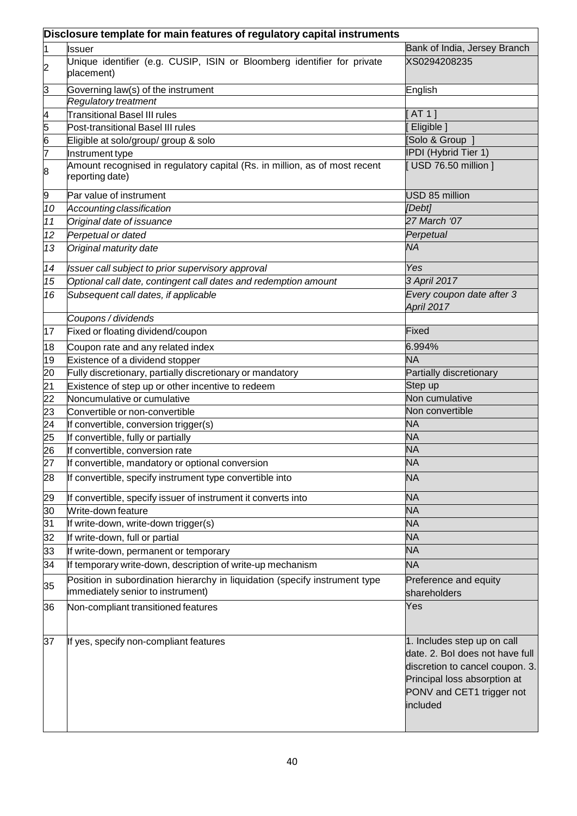|                | Disclosure template for main features of regulatory capital instruments                                          |                                                                                                                                                                            |  |  |  |  |
|----------------|------------------------------------------------------------------------------------------------------------------|----------------------------------------------------------------------------------------------------------------------------------------------------------------------------|--|--|--|--|
| 1              | <b>Issuer</b>                                                                                                    | Bank of India, Jersey Branch                                                                                                                                               |  |  |  |  |
| $\overline{c}$ | Unique identifier (e.g. CUSIP, ISIN or Bloomberg identifier for private<br>placement)                            | XS0294208235                                                                                                                                                               |  |  |  |  |
| 3              | Governing law(s) of the instrument                                                                               | English                                                                                                                                                                    |  |  |  |  |
|                | Regulatory treatment                                                                                             |                                                                                                                                                                            |  |  |  |  |
| $\overline{4}$ | <b>Transitional Basel III rules</b>                                                                              | AT 1 ]                                                                                                                                                                     |  |  |  |  |
| 5              | Post-transitional Basel III rules                                                                                | Eligible ]                                                                                                                                                                 |  |  |  |  |
| $\overline{6}$ | Eligible at solo/group/ group & solo                                                                             | Solo & Group                                                                                                                                                               |  |  |  |  |
| 7              | Instrument type                                                                                                  | IPDI (Hybrid Tier 1)                                                                                                                                                       |  |  |  |  |
| 8              | Amount recognised in regulatory capital (Rs. in million, as of most recent<br>reporting date)                    | USD 76.50 million ]                                                                                                                                                        |  |  |  |  |
| 9              | Par value of instrument                                                                                          | USD 85 million                                                                                                                                                             |  |  |  |  |
| 10             | Accounting classification                                                                                        | [Debt]                                                                                                                                                                     |  |  |  |  |
| 11             | Original date of issuance                                                                                        | 27 March '07                                                                                                                                                               |  |  |  |  |
| 12             | Perpetual or dated                                                                                               | Perpetual                                                                                                                                                                  |  |  |  |  |
| 13             | Original maturity date                                                                                           | <b>NA</b>                                                                                                                                                                  |  |  |  |  |
| 14             | Issuer call subject to prior supervisory approval                                                                | Yes                                                                                                                                                                        |  |  |  |  |
| 15             | Optional call date, contingent call dates and redemption amount                                                  | 3 April 2017                                                                                                                                                               |  |  |  |  |
| 16             | Subsequent call dates, if applicable                                                                             | Every coupon date after 3<br>April 2017                                                                                                                                    |  |  |  |  |
|                | Coupons / dividends                                                                                              |                                                                                                                                                                            |  |  |  |  |
| 17             | Fixed or floating dividend/coupon                                                                                | <b>Fixed</b>                                                                                                                                                               |  |  |  |  |
| 18             | Coupon rate and any related index                                                                                | 6.994%                                                                                                                                                                     |  |  |  |  |
| 19             | Existence of a dividend stopper                                                                                  | <b>NA</b>                                                                                                                                                                  |  |  |  |  |
| 20             | Fully discretionary, partially discretionary or mandatory                                                        | Partially discretionary                                                                                                                                                    |  |  |  |  |
| 21             | Existence of step up or other incentive to redeem                                                                | Step up                                                                                                                                                                    |  |  |  |  |
| 22             | Noncumulative or cumulative                                                                                      | Non cumulative                                                                                                                                                             |  |  |  |  |
| 23             | Convertible or non-convertible                                                                                   | Non convertible                                                                                                                                                            |  |  |  |  |
| 24             | If convertible, conversion trigger(s)                                                                            | <b>NA</b>                                                                                                                                                                  |  |  |  |  |
| 25             | If convertible, fully or partially                                                                               | <b>NA</b>                                                                                                                                                                  |  |  |  |  |
| 26             | If convertible, conversion rate                                                                                  | <b>NA</b>                                                                                                                                                                  |  |  |  |  |
| 27             | If convertible, mandatory or optional conversion                                                                 | <b>NA</b>                                                                                                                                                                  |  |  |  |  |
| 28             | If convertible, specify instrument type convertible into                                                         | <b>NA</b>                                                                                                                                                                  |  |  |  |  |
| 29             | If convertible, specify issuer of instrument it converts into                                                    | <b>NA</b>                                                                                                                                                                  |  |  |  |  |
| 30             | Write-down feature                                                                                               | <b>NA</b>                                                                                                                                                                  |  |  |  |  |
| 31             | If write-down, write-down trigger(s)                                                                             | <b>NA</b>                                                                                                                                                                  |  |  |  |  |
| 32             | If write-down, full or partial                                                                                   | <b>NA</b>                                                                                                                                                                  |  |  |  |  |
| 33             | If write-down, permanent or temporary                                                                            | <b>NA</b>                                                                                                                                                                  |  |  |  |  |
| 34             | If temporary write-down, description of write-up mechanism                                                       | <b>NA</b>                                                                                                                                                                  |  |  |  |  |
| 35             | Position in subordination hierarchy in liquidation (specify instrument type<br>immediately senior to instrument) | Preference and equity<br>shareholders                                                                                                                                      |  |  |  |  |
| 36             | Non-compliant transitioned features                                                                              | Yes                                                                                                                                                                        |  |  |  |  |
| 37             | If yes, specify non-compliant features                                                                           | 1. Includes step up on call<br>date. 2. Bol does not have full<br>discretion to cancel coupon. 3.<br>Principal loss absorption at<br>PONV and CET1 trigger not<br>included |  |  |  |  |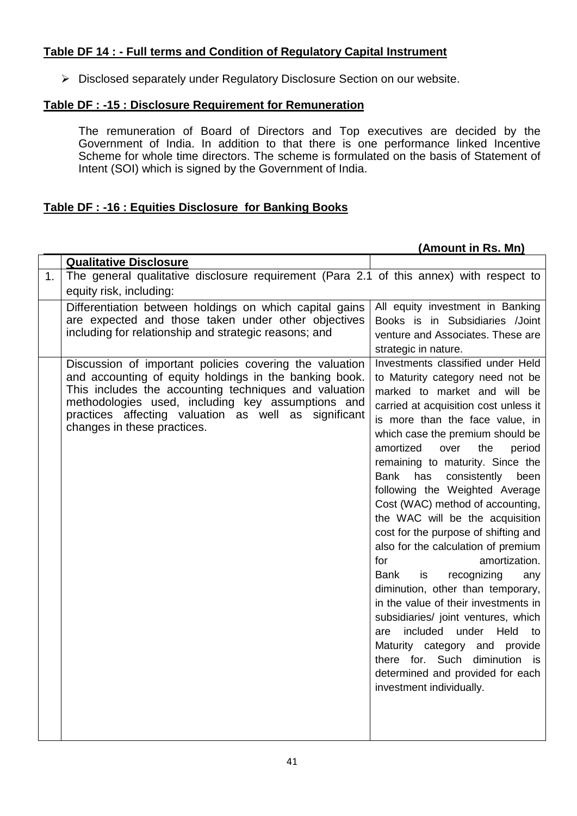# **Table DF 14 : - Full terms and Condition of Regulatory Capital Instrument**

Disclosed separately under Regulatory Disclosure Section on our website.

### **Table DF : -15 : Disclosure Requirement for Remuneration**

The remuneration of Board of Directors and Top executives are decided by the Government of India. In addition to that there is one performance linked Incentive Scheme for whole time directors. The scheme is formulated on the basis of Statement of Intent (SOI) which is signed by the Government of India.

## **Table DF : -16 : Equities Disclosure for Banking Books**

| <b>Qualitative Disclosure</b>                                                                                                                                                                                                                                                                                          |                                                                                                                                                                                                                                                                                                                                                                                                                                                                                                                                                                                                                                                                                                                                                                                                                                                                                                          |  |  |
|------------------------------------------------------------------------------------------------------------------------------------------------------------------------------------------------------------------------------------------------------------------------------------------------------------------------|----------------------------------------------------------------------------------------------------------------------------------------------------------------------------------------------------------------------------------------------------------------------------------------------------------------------------------------------------------------------------------------------------------------------------------------------------------------------------------------------------------------------------------------------------------------------------------------------------------------------------------------------------------------------------------------------------------------------------------------------------------------------------------------------------------------------------------------------------------------------------------------------------------|--|--|
|                                                                                                                                                                                                                                                                                                                        |                                                                                                                                                                                                                                                                                                                                                                                                                                                                                                                                                                                                                                                                                                                                                                                                                                                                                                          |  |  |
| 1.<br>equity risk, including:                                                                                                                                                                                                                                                                                          | The general qualitative disclosure requirement (Para 2.1 of this annex) with respect to                                                                                                                                                                                                                                                                                                                                                                                                                                                                                                                                                                                                                                                                                                                                                                                                                  |  |  |
| Differentiation between holdings on which capital gains<br>are expected and those taken under other objectives<br>including for relationship and strategic reasons; and                                                                                                                                                | All equity investment in Banking<br>Books is in Subsidiaries /Joint<br>venture and Associates. These are<br>strategic in nature.                                                                                                                                                                                                                                                                                                                                                                                                                                                                                                                                                                                                                                                                                                                                                                         |  |  |
| Discussion of important policies covering the valuation<br>and accounting of equity holdings in the banking book.<br>This includes the accounting techniques and valuation<br>methodologies used, including key assumptions and<br>practices affecting valuation as well as significant<br>changes in these practices. | Investments classified under Held<br>to Maturity category need not be<br>marked to market and will be<br>carried at acquisition cost unless it<br>is more than the face value, in<br>which case the premium should be<br>amortized<br>over<br>the<br>period<br>remaining to maturity. Since the<br>has<br><b>Bank</b><br>consistently<br>been<br>following the Weighted Average<br>Cost (WAC) method of accounting,<br>the WAC will be the acquisition<br>cost for the purpose of shifting and<br>also for the calculation of premium<br>amortization.<br>for<br><b>Bank</b><br>is<br>recognizing<br>any<br>diminution, other than temporary,<br>in the value of their investments in<br>subsidiaries/ joint ventures, which<br>included<br>under<br>Held<br>are<br>to<br>Maturity category and provide<br>there for. Such diminution is<br>determined and provided for each<br>investment individually. |  |  |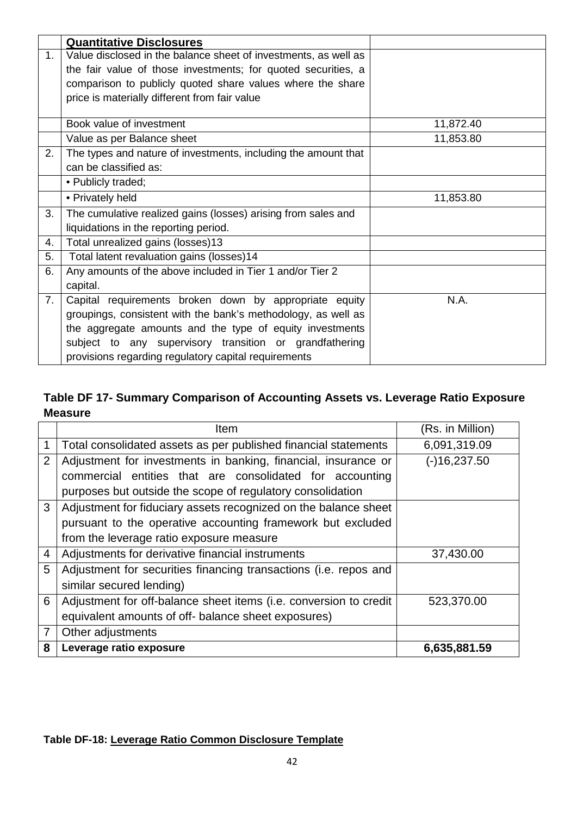|                | <b>Quantitative Disclosures</b>                                 |           |
|----------------|-----------------------------------------------------------------|-----------|
| 1 <sub>1</sub> | Value disclosed in the balance sheet of investments, as well as |           |
|                | the fair value of those investments; for quoted securities, a   |           |
|                | comparison to publicly quoted share values where the share      |           |
|                | price is materially different from fair value                   |           |
|                | Book value of investment                                        | 11,872.40 |
|                | Value as per Balance sheet                                      | 11,853.80 |
| 2.             | The types and nature of investments, including the amount that  |           |
|                | can be classified as:                                           |           |
|                | • Publicly traded;                                              |           |
|                | • Privately held                                                | 11,853.80 |
| 3.             | The cumulative realized gains (losses) arising from sales and   |           |
|                | liquidations in the reporting period.                           |           |
| 4.             | Total unrealized gains (losses)13                               |           |
| 5.             | Total latent revaluation gains (losses)14                       |           |
| 6.             | Any amounts of the above included in Tier 1 and/or Tier 2       |           |
|                | capital.                                                        |           |
| 7.             | Capital requirements broken down by appropriate equity          | N.A.      |
|                | groupings, consistent with the bank's methodology, as well as   |           |
|                | the aggregate amounts and the type of equity investments        |           |
|                | subject to any supervisory transition or grandfathering         |           |
|                | provisions regarding regulatory capital requirements            |           |

# **Table DF 17- Summary Comparison of Accounting Assets vs. Leverage Ratio Exposure Measure**

|                | Item                                                              | (Rs. in Million) |
|----------------|-------------------------------------------------------------------|------------------|
| 1              | Total consolidated assets as per published financial statements   | 6,091,319.09     |
| $\overline{2}$ | Adjustment for investments in banking, financial, insurance or    | $(-)16,237.50$   |
|                | commercial entities that are consolidated for accounting          |                  |
|                | purposes but outside the scope of regulatory consolidation        |                  |
| 3              | Adjustment for fiduciary assets recognized on the balance sheet   |                  |
|                | pursuant to the operative accounting framework but excluded       |                  |
|                | from the leverage ratio exposure measure                          |                  |
| 4              | Adjustments for derivative financial instruments                  | 37,430.00        |
| 5              | Adjustment for securities financing transactions (i.e. repos and  |                  |
|                | similar secured lending)                                          |                  |
| 6              | Adjustment for off-balance sheet items (i.e. conversion to credit | 523,370.00       |
|                | equivalent amounts of off- balance sheet exposures)               |                  |
| $\overline{7}$ | Other adjustments                                                 |                  |
| 8              | Leverage ratio exposure                                           | 6,635,881.59     |

# **Table DF-18: Leverage Ratio Common Disclosure Template**